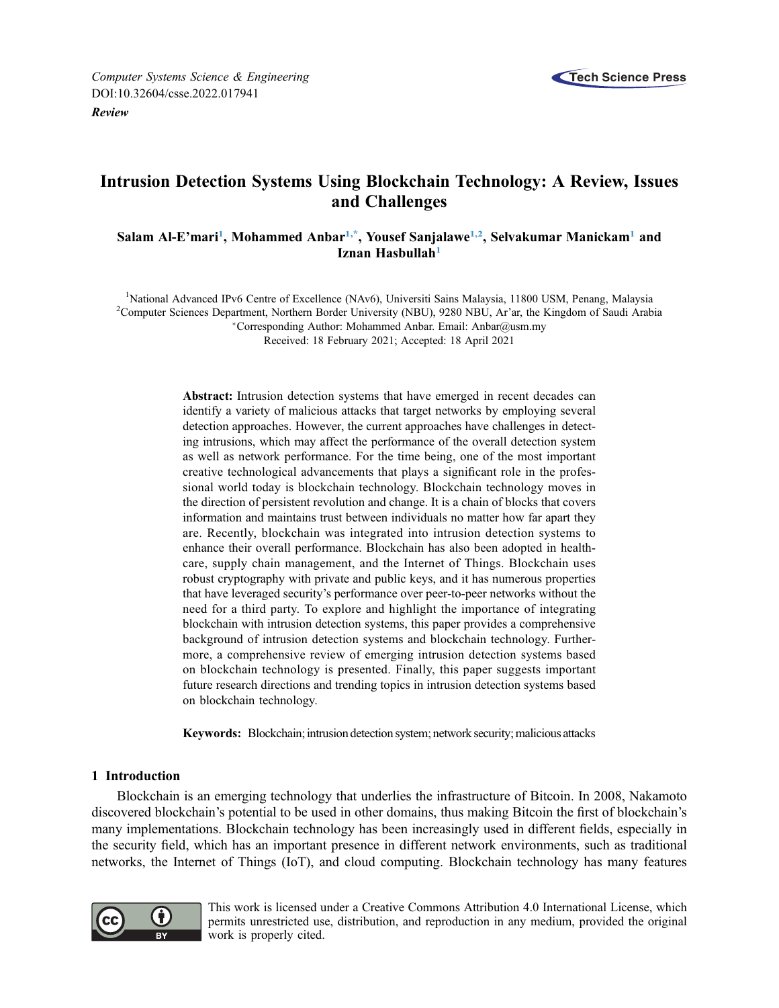

[Review](http://dx.doi.org/10.32604/csse.2022.017941)

# Intrusion Detection Systems Using Blockchain Technology: A Review, Issues and Challenges

Salam Al-E'mari<sup>[1](#page-0-0)</sup>, Mohammed Anbar<sup>1,\*</sup>, Yousef Sanjalawe<sup>1,2</sup>, Selvakumar Manickam<sup>1</sup> and Iznan Hasbullah<sup>[1](#page-0-0)</sup>

<span id="page-0-2"></span><span id="page-0-1"></span><span id="page-0-0"></span><sup>1</sup>National Advanced IPv6 Centre of Excellence (NAv6), Universiti Sains Malaysia, 11800 USM, Penang, Malaysia<br><sup>2</sup>Computer Sciences Department Northern Border University (NBU), 0280 NBU, Ar'er, the Kingdom of Saudi Arab <sup>2</sup>Computer Sciences Department, Northern Border University (NBU), 9280 NBU, Ar'ar, the Kingdom of Saudi Arabia Corresponding Author: Mohammed Anbar. Email: [Anbar@usm.my](mailto:Anbar@usm.my)

Received: 18 February 2021; Accepted: 18 April 2021

Abstract: Intrusion detection systems that have emerged in recent decades can identify a variety of malicious attacks that target networks by employing several detection approaches. However, the current approaches have challenges in detecting intrusions, which may affect the performance of the overall detection system as well as network performance. For the time being, one of the most important creative technological advancements that plays a significant role in the professional world today is blockchain technology. Blockchain technology moves in the direction of persistent revolution and change. It is a chain of blocks that covers information and maintains trust between individuals no matter how far apart they are. Recently, blockchain was integrated into intrusion detection systems to enhance their overall performance. Blockchain has also been adopted in healthcare, supply chain management, and the Internet of Things. Blockchain uses robust cryptography with private and public keys, and it has numerous properties that have leveraged security's performance over peer-to-peer networks without the need for a third party. To explore and highlight the importance of integrating blockchain with intrusion detection systems, this paper provides a comprehensive background of intrusion detection systems and blockchain technology. Furthermore, a comprehensive review of emerging intrusion detection systems based on blockchain technology is presented. Finally, this paper suggests important future research directions and trending topics in intrusion detection systems based on blockchain technology.

Keywords: Blockchain; intrusion detection system; network security; malicious attacks

# 1 Introduction

Blockchain is an emerging technology that underlies the infrastructure of Bitcoin. In 2008, Nakamoto discovered blockchain's potential to be used in other domains, thus making Bitcoin the first of blockchain's many implementations. Blockchain technology has been increasingly used in different fields, especially in the security field, which has an important presence in different network environments, such as traditional networks, the Internet of Things (IoT), and cloud computing. Blockchain technology has many features



This work is licensed under a Creative Commons Attribution 4.0 International License, which permits unrestricted use, distribution, and reproduction in any medium, provided the original work is properly cited.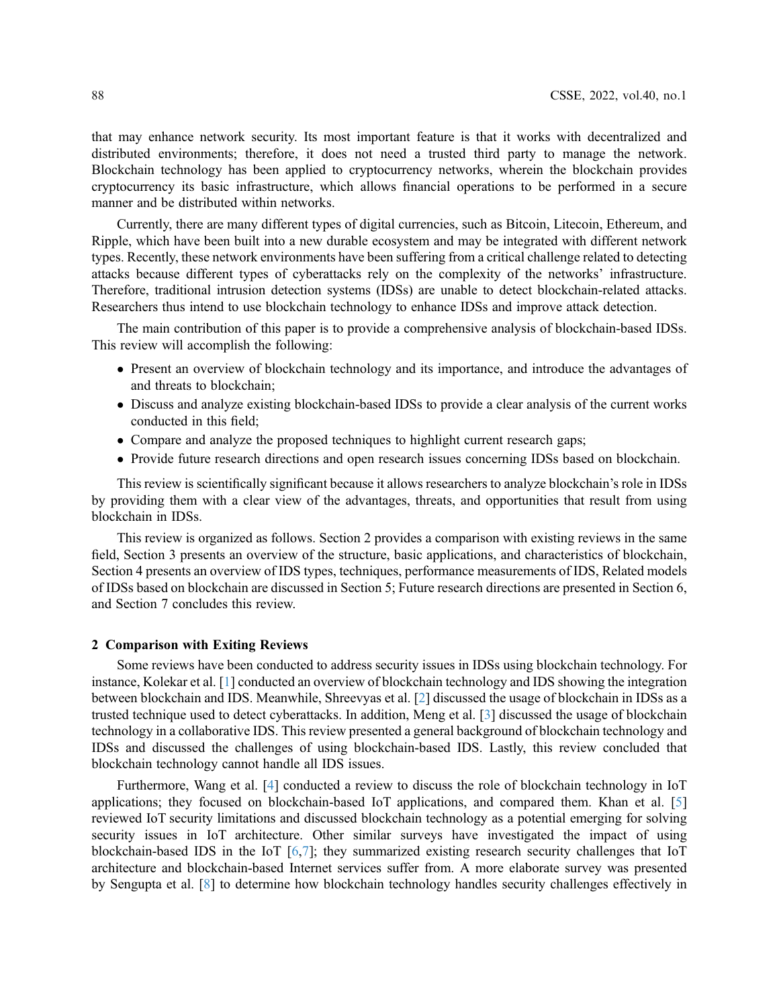that may enhance network security. Its most important feature is that it works with decentralized and distributed environments; therefore, it does not need a trusted third party to manage the network. Blockchain technology has been applied to cryptocurrency networks, wherein the blockchain provides cryptocurrency its basic infrastructure, which allows financial operations to be performed in a secure manner and be distributed within networks.

Currently, there are many different types of digital currencies, such as Bitcoin, Litecoin, Ethereum, and Ripple, which have been built into a new durable ecosystem and may be integrated with different network types. Recently, these network environments have been suffering from a critical challenge related to detecting attacks because different types of cyberattacks rely on the complexity of the networks' infrastructure. Therefore, traditional intrusion detection systems (IDSs) are unable to detect blockchain-related attacks. Researchers thus intend to use blockchain technology to enhance IDSs and improve attack detection.

The main contribution of this paper is to provide a comprehensive analysis of blockchain-based IDSs. This review will accomplish the following:

- Present an overview of blockchain technology and its importance, and introduce the advantages of and threats to blockchain;
- Discuss and analyze existing blockchain-based IDSs to provide a clear analysis of the current works conducted in this field;
- Compare and analyze the proposed techniques to highlight current research gaps;
- Provide future research directions and open research issues concerning IDSs based on blockchain.

This review is scientifically significant because it allows researchers to analyze blockchain's role in IDSs by providing them with a clear view of the advantages, threats, and opportunities that result from using blockchain in IDSs.

This review is organized as follows. Section 2 provides a comparison with existing reviews in the same field, Section 3 presents an overview of the structure, basic applications, and characteristics of blockchain, Section 4 presents an overview of IDS types, techniques, performance measurements of IDS, Related models of IDSs based on blockchain are discussed in Section 5; Future research directions are presented in Section 6, and Section 7 concludes this review.

# 2 Comparison with Exiting Reviews

Some reviews have been conducted to address security issues in IDSs using blockchain technology. For instance, Kolekar et al. [[1](#page-21-0)] conducted an overview of blockchain technology and IDS showing the integration between blockchain and IDS. Meanwhile, Shreevyas et al. [\[2\]](#page-21-1) discussed the usage of blockchain in IDSs as a trusted technique used to detect cyberattacks. In addition, Meng et al. [[3](#page-21-2)] discussed the usage of blockchain technology in a collaborative IDS. This review presented a general background of blockchain technology and IDSs and discussed the challenges of using blockchain-based IDS. Lastly, this review concluded that blockchain technology cannot handle all IDS issues.

Furthermore, Wang et al. [\[4\]](#page-21-3) conducted a review to discuss the role of blockchain technology in IoT applications; they focused on blockchain-based IoT applications, and compared them. Khan et al. [\[5\]](#page-21-4) reviewed IoT security limitations and discussed blockchain technology as a potential emerging for solving security issues in IoT architecture. Other similar surveys have investigated the impact of using blockchain-based IDS in the IoT [\[6,](#page-21-5)[7](#page-21-6)]; they summarized existing research security challenges that IoT architecture and blockchain-based Internet services suffer from. A more elaborate survey was presented by Sengupta et al. [\[8\]](#page-21-7) to determine how blockchain technology handles security challenges effectively in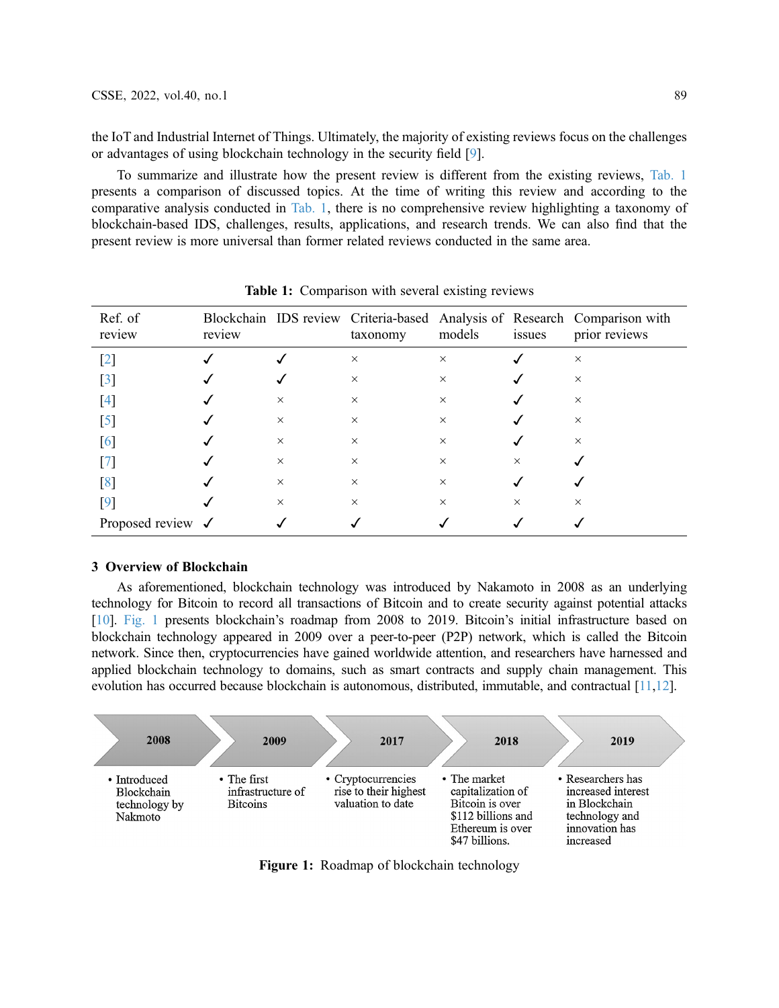the IoT and Industrial Internet of Things. Ultimately, the majority of existing reviews focus on the challenges or advantages of using blockchain technology in the security field [\[9\]](#page-21-8).

To summarize and illustrate how the present review is different from the existing reviews, [Tab. 1](#page-2-0) presents a comparison of discussed topics. At the time of writing this review and according to the comparative analysis conducted in [Tab. 1](#page-2-0), there is no comprehensive review highlighting a taxonomy of blockchain-based IDS, challenges, results, applications, and research trends. We can also find that the present review is more universal than former related reviews conducted in the same area.

<span id="page-2-0"></span>

| Ref. of<br>review            | review |          | taxonomy | models   | issues   | Blockchain IDS review Criteria-based Analysis of Research Comparison with<br>prior reviews |
|------------------------------|--------|----------|----------|----------|----------|--------------------------------------------------------------------------------------------|
| $[2]$                        |        |          | $\times$ | $\times$ |          | $\times$                                                                                   |
| $[3]$                        |        |          | $\times$ | $\times$ |          | $\times$                                                                                   |
| [4]                          |        | $\times$ | $\times$ | $\times$ |          | $\times$                                                                                   |
| $[5]$                        |        | $\times$ | $\times$ | $\times$ |          | $\times$                                                                                   |
| [6]                          |        | $\times$ | $\times$ | $\times$ |          | $\times$                                                                                   |
| [7]                          |        | $\times$ | $\times$ | $\times$ | $\times$ |                                                                                            |
| [8]                          |        | $\times$ | $\times$ | $\times$ |          |                                                                                            |
| $[9]$                        |        | $\times$ | $\times$ | $\times$ | $\times$ | $\times$                                                                                   |
| Proposed review $\checkmark$ |        |          |          |          |          |                                                                                            |

Table 1: Comparison with several existing reviews

## 3 Overview of Blockchain

As aforementioned, blockchain technology was introduced by Nakamoto in 2008 as an underlying technology for Bitcoin to record all transactions of Bitcoin and to create security against potential attacks [\[10](#page-21-9)]. [Fig. 1](#page-2-1) presents blockchain's roadmap from 2008 to 2019. Bitcoin's initial infrastructure based on blockchain technology appeared in 2009 over a peer-to-peer (P2P) network, which is called the Bitcoin network. Since then, cryptocurrencies have gained worldwide attention, and researchers have harnessed and applied blockchain technology to domains, such as smart contracts and supply chain management. This evolution has occurred because blockchain is autonomous, distributed, immutable, and contractual [\[11](#page-21-10)[,12](#page-22-0)].

<span id="page-2-1"></span>

Figure 1: Roadmap of blockchain technology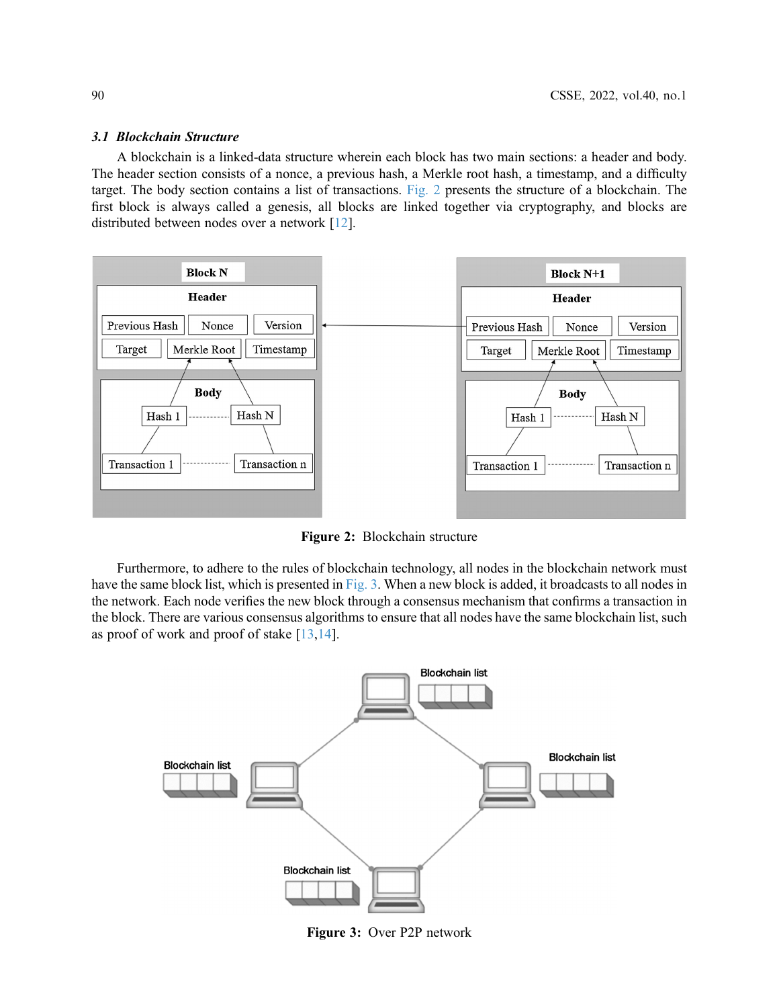#### 3.1 Blockchain Structure

A blockchain is a linked-data structure wherein each block has two main sections: a header and body. The header section consists of a nonce, a previous hash, a Merkle root hash, a timestamp, and a difficulty target. The body section contains a list of transactions. [Fig. 2](#page-3-0) presents the structure of a blockchain. The first block is always called a genesis, all blocks are linked together via cryptography, and blocks are distributed between nodes over a network [[12\]](#page-22-0).

<span id="page-3-0"></span>

Figure 2: Blockchain structure

Furthermore, to adhere to the rules of blockchain technology, all nodes in the blockchain network must have the same block list, which is presented in [Fig. 3.](#page-3-1) When a new block is added, it broadcasts to all nodes in the network. Each node verifies the new block through a consensus mechanism that confirms a transaction in the block. There are various consensus algorithms to ensure that all nodes have the same blockchain list, such as proof of work and proof of stake  $[13,14]$  $[13,14]$  $[13,14]$ .

<span id="page-3-1"></span>

Figure 3: Over P2P network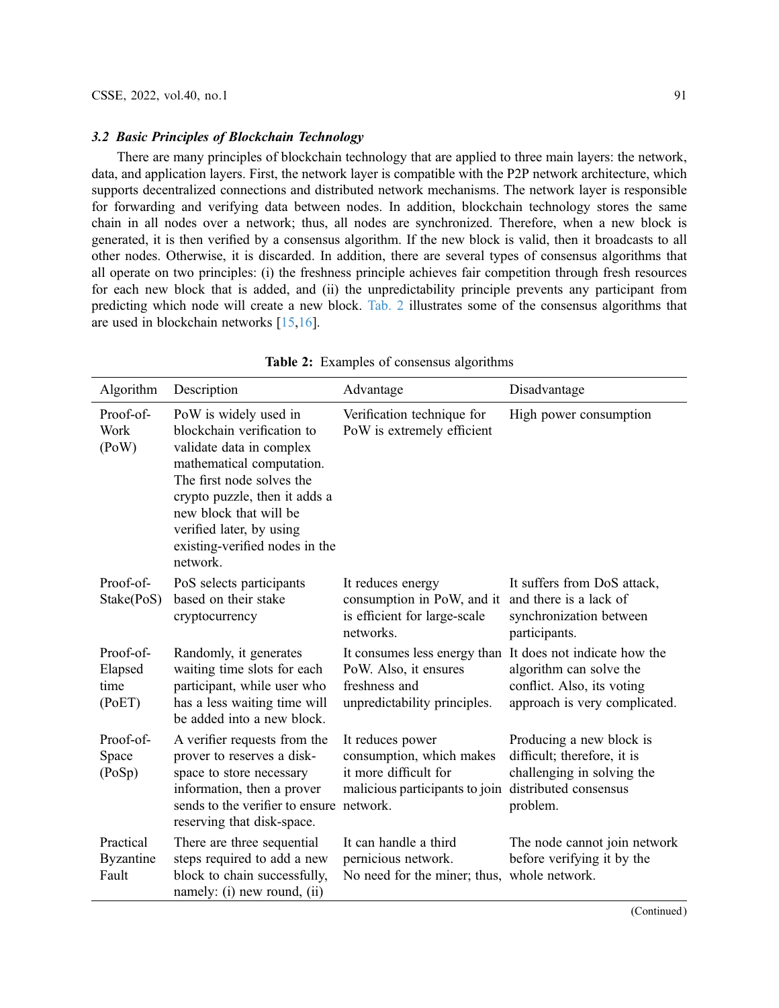### 3.2 Basic Principles of Blockchain Technology

There are many principles of blockchain technology that are applied to three main layers: the network, data, and application layers. First, the network layer is compatible with the P2P network architecture, which supports decentralized connections and distributed network mechanisms. The network layer is responsible for forwarding and verifying data between nodes. In addition, blockchain technology stores the same chain in all nodes over a network; thus, all nodes are synchronized. Therefore, when a new block is generated, it is then verified by a consensus algorithm. If the new block is valid, then it broadcasts to all other nodes. Otherwise, it is discarded. In addition, there are several types of consensus algorithms that all operate on two principles: (i) the freshness principle achieves fair competition through fresh resources for each new block that is added, and (ii) the unpredictability principle prevents any participant from predicting which node will create a new block. [Tab. 2](#page-4-0) illustrates some of the consensus algorithms that are used in blockchain networks [[15,](#page-22-3)[16\]](#page-22-4).

<span id="page-4-0"></span>

| Algorithm                              | Description                                                                                                                                                                                                                                                                    | Advantage                                                                                               | Disadvantage                                                                                                                                        |
|----------------------------------------|--------------------------------------------------------------------------------------------------------------------------------------------------------------------------------------------------------------------------------------------------------------------------------|---------------------------------------------------------------------------------------------------------|-----------------------------------------------------------------------------------------------------------------------------------------------------|
| Proof-of-<br>Work<br>(PoW)             | PoW is widely used in<br>blockchain verification to<br>validate data in complex<br>mathematical computation.<br>The first node solves the<br>crypto puzzle, then it adds a<br>new block that will be<br>verified later, by using<br>existing-verified nodes in the<br>network. | Verification technique for<br>PoW is extremely efficient                                                | High power consumption                                                                                                                              |
| Proof-of-<br>Stake(PoS)                | PoS selects participants<br>based on their stake<br>cryptocurrency                                                                                                                                                                                                             | It reduces energy<br>consumption in PoW, and it<br>is efficient for large-scale<br>networks.            | It suffers from DoS attack,<br>and there is a lack of<br>synchronization between<br>participants.                                                   |
| Proof-of-<br>Elapsed<br>time<br>(PoET) | Randomly, it generates<br>waiting time slots for each<br>participant, while user who<br>has a less waiting time will<br>be added into a new block.                                                                                                                             | PoW. Also, it ensures<br>freshness and<br>unpredictability principles.                                  | It consumes less energy than It does not indicate how the<br>algorithm can solve the<br>conflict. Also, its voting<br>approach is very complicated. |
| Proof-of-<br>Space<br>(PoSp)           | A verifier requests from the<br>prover to reserves a disk-<br>space to store necessary<br>information, then a prover<br>sends to the verifier to ensure network.<br>reserving that disk-space.                                                                                 | It reduces power<br>consumption, which makes<br>it more difficult for<br>malicious participants to join | Producing a new block is<br>difficult; therefore, it is<br>challenging in solving the<br>distributed consensus<br>problem.                          |
| Practical<br><b>Byzantine</b><br>Fault | There are three sequential<br>steps required to add a new<br>block to chain successfully,<br>namely: (i) new round, (ii)                                                                                                                                                       | It can handle a third<br>pernicious network.<br>No need for the miner; thus, whole network.             | The node cannot join network<br>before verifying it by the                                                                                          |

Table 2: Examples of consensus algorithms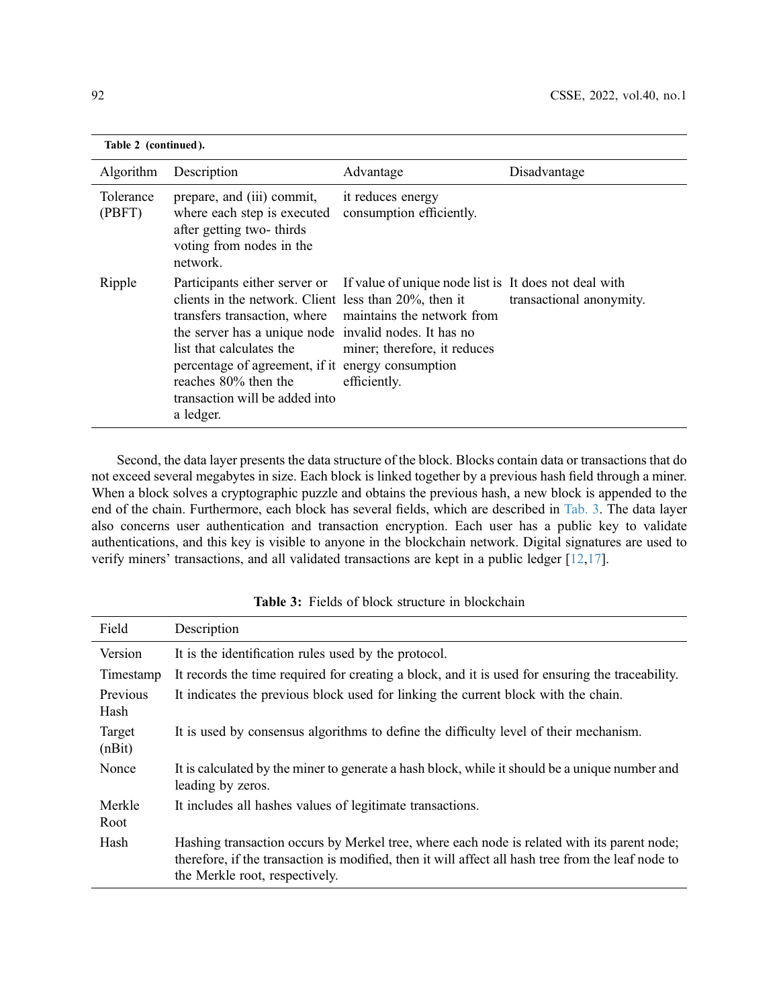| Table 2 (continued). |                                                                                                                                                                                                                                                                                                                                                                    |                                                                                                       |                          |  |
|----------------------|--------------------------------------------------------------------------------------------------------------------------------------------------------------------------------------------------------------------------------------------------------------------------------------------------------------------------------------------------------------------|-------------------------------------------------------------------------------------------------------|--------------------------|--|
| Algorithm            | Description                                                                                                                                                                                                                                                                                                                                                        | Advantage                                                                                             | Disadvantage             |  |
| Tolerance<br>(PBFT)  | prepare, and (iii) commit,<br>where each step is executed<br>after getting two-thirds<br>voting from nodes in the<br>network.                                                                                                                                                                                                                                      | it reduces energy<br>consumption efficiently.                                                         |                          |  |
| Ripple               | Participants either server or<br>clients in the network. Client less than 20%, then it<br>transfers transaction, where maintains the network from<br>the server has a unique node invalid nodes. It has no<br>list that calculates the<br>percentage of agreement, if it energy consumption<br>reaches 80% then the<br>transaction will be added into<br>a ledger. | If value of unique node list is It does not deal with<br>miner; therefore, it reduces<br>efficiently. | transactional anonymity. |  |

Second, the data layer presents the data structure of the block. Blocks contain data or transactions that do not exceed several megabytes in size. Each block is linked together by a previous hash field through a miner. When a block solves a cryptographic puzzle and obtains the previous hash, a new block is appended to the end of the chain. Furthermore, each block has several fields, which are described in [Tab. 3](#page-5-0). The data layer also concerns user authentication and transaction encryption. Each user has a public key to validate authentications, and this key is visible to anyone in the blockchain network. Digital signatures are used to verify miners' transactions, and all validated transactions are kept in a public ledger [\[12](#page-22-0),[17\]](#page-22-5).

<span id="page-5-0"></span>

| Field            | Description                                                                                                                                                                                                                         |
|------------------|-------------------------------------------------------------------------------------------------------------------------------------------------------------------------------------------------------------------------------------|
| Version          | It is the identification rules used by the protocol.                                                                                                                                                                                |
| Timestamp        | It records the time required for creating a block, and it is used for ensuring the traceability.                                                                                                                                    |
| Previous<br>Hash | It indicates the previous block used for linking the current block with the chain.                                                                                                                                                  |
| Target<br>(nBit) | It is used by consensus algorithms to define the difficulty level of their mechanism.                                                                                                                                               |
| Nonce            | It is calculated by the miner to generate a hash block, while it should be a unique number and<br>leading by zeros.                                                                                                                 |
| Merkle<br>Root   | It includes all hashes values of legitimate transactions.                                                                                                                                                                           |
| Hash             | Hashing transaction occurs by Merkel tree, where each node is related with its parent node;<br>therefore, if the transaction is modified, then it will affect all hash tree from the leaf node to<br>the Merkle root, respectively. |

Table 3: Fields of block structure in blockchain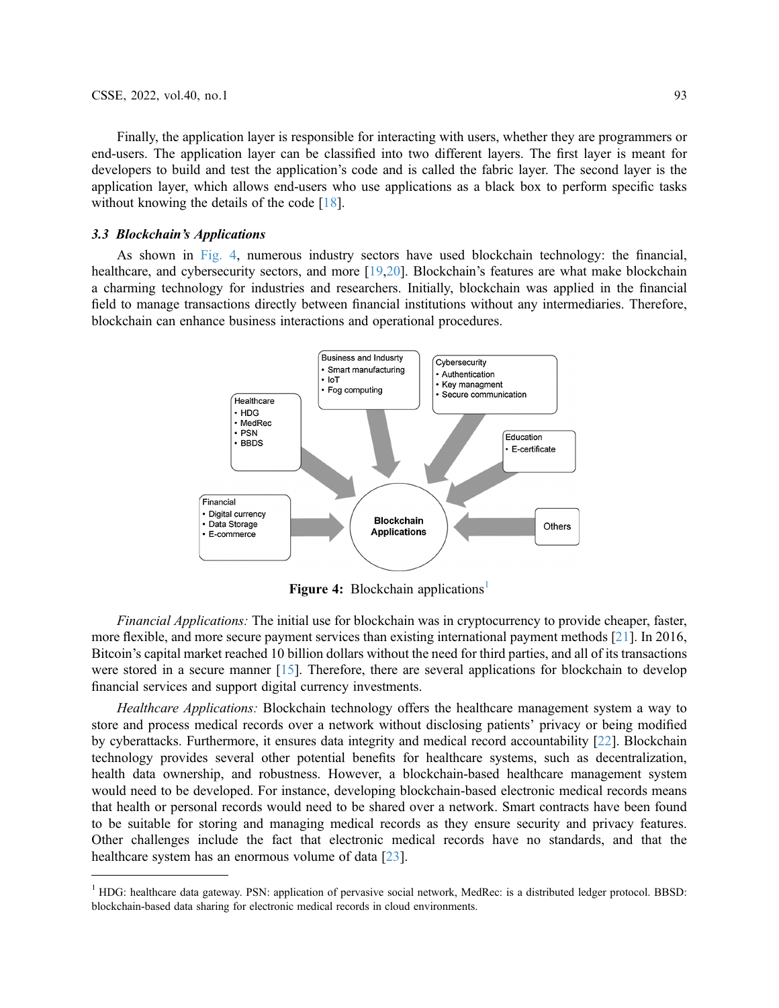Finally, the application layer is responsible for interacting with users, whether they are programmers or end-users. The application layer can be classified into two different layers. The first layer is meant for developers to build and test the application's code and is called the fabric layer. The second layer is the application layer, which allows end-users who use applications as a black box to perform specific tasks without knowing the details of the code [\[18\]](#page-22-6).

#### 3.3 Blockchain's Applications

<span id="page-6-0"></span>As shown in [Fig. 4](#page-6-0), numerous industry sectors have used blockchain technology: the financial, healthcare, and cybersecurity sectors, and more [\[19](#page-22-7),[20\]](#page-22-8). Blockchain's features are what make blockchain a charming technology for industries and researchers. Initially, blockchain was applied in the financial field to manage transactions directly between financial institutions without any intermediaries. Therefore, blockchain can enhance business interactions and operational procedures.



Figure 4: Blockchain applications<sup>[1](#page-6-1)</sup>

Financial Applications: The initial use for blockchain was in cryptocurrency to provide cheaper, faster, more flexible, and more secure payment services than existing international payment methods [\[21\]](#page-22-9). In 2016, Bitcoin's capital market reached 10 billion dollars without the need for third parties, and all of its transactions were stored in a secure manner [[15\]](#page-22-3). Therefore, there are several applications for blockchain to develop financial services and support digital currency investments.

Healthcare Applications: Blockchain technology offers the healthcare management system a way to store and process medical records over a network without disclosing patients' privacy or being modified by cyberattacks. Furthermore, it ensures data integrity and medical record accountability [[22\]](#page-22-10). Blockchain technology provides several other potential benefits for healthcare systems, such as decentralization, health data ownership, and robustness. However, a blockchain-based healthcare management system would need to be developed. For instance, developing blockchain-based electronic medical records means that health or personal records would need to be shared over a network. Smart contracts have been found to be suitable for storing and managing medical records as they ensure security and privacy features. Other challenges include the fact that electronic medical records have no standards, and that the healthcare system has an enormous volume of data [[23](#page-22-11)].

<span id="page-6-1"></span> $1$  HDG: healthcare data gateway. PSN: application of pervasive social network, MedRec: is a distributed ledger protocol. BBSD: blockchain-based data sharing for electronic medical records in cloud environments.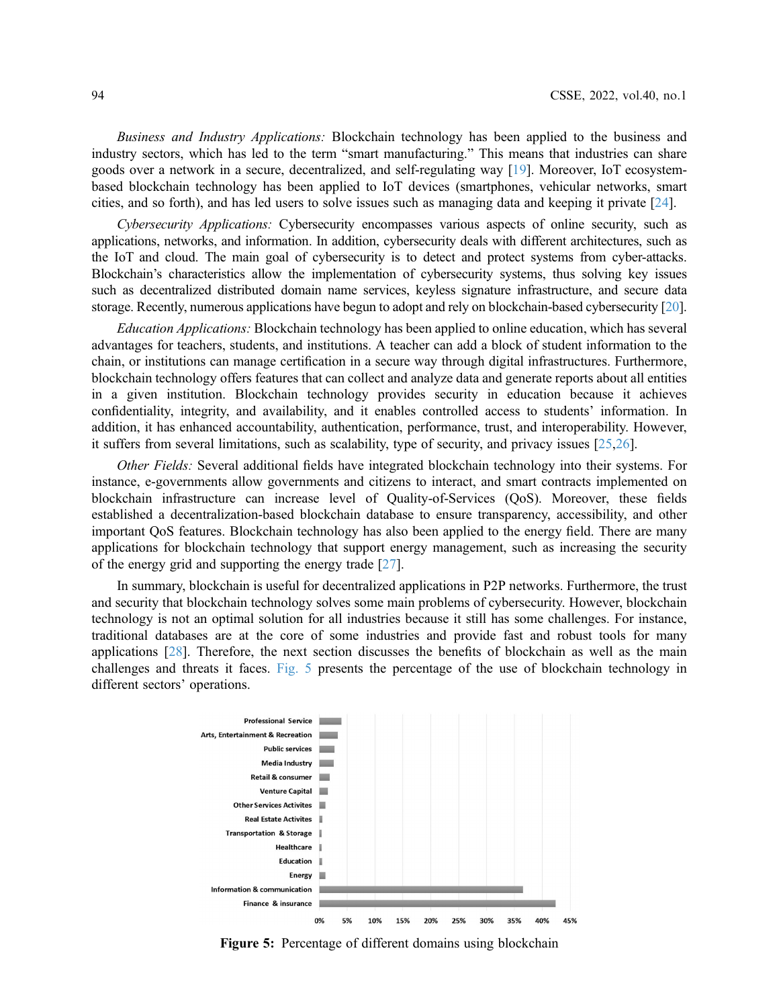Business and Industry Applications: Blockchain technology has been applied to the business and industry sectors, which has led to the term "smart manufacturing." This means that industries can share goods over a network in a secure, decentralized, and self-regulating way [[19\]](#page-22-7). Moreover, IoT ecosystembased blockchain technology has been applied to IoT devices (smartphones, vehicular networks, smart cities, and so forth), and has led users to solve issues such as managing data and keeping it private [[24\]](#page-22-12).

Cybersecurity Applications: Cybersecurity encompasses various aspects of online security, such as applications, networks, and information. In addition, cybersecurity deals with different architectures, such as the IoT and cloud. The main goal of cybersecurity is to detect and protect systems from cyber-attacks. Blockchain's characteristics allow the implementation of cybersecurity systems, thus solving key issues such as decentralized distributed domain name services, keyless signature infrastructure, and secure data storage. Recently, numerous applications have begun to adopt and rely on blockchain-based cybersecurity [\[20\]](#page-22-8).

Education Applications: Blockchain technology has been applied to online education, which has several advantages for teachers, students, and institutions. A teacher can add a block of student information to the chain, or institutions can manage certification in a secure way through digital infrastructures. Furthermore, blockchain technology offers features that can collect and analyze data and generate reports about all entities in a given institution. Blockchain technology provides security in education because it achieves confidentiality, integrity, and availability, and it enables controlled access to students' information. In addition, it has enhanced accountability, authentication, performance, trust, and interoperability. However, it suffers from several limitations, such as scalability, type of security, and privacy issues  $[25,26]$  $[25,26]$  $[25,26]$  $[25,26]$ .

Other Fields: Several additional fields have integrated blockchain technology into their systems. For instance, e-governments allow governments and citizens to interact, and smart contracts implemented on blockchain infrastructure can increase level of Quality-of-Services (QoS). Moreover, these fields established a decentralization-based blockchain database to ensure transparency, accessibility, and other important QoS features. Blockchain technology has also been applied to the energy field. There are many applications for blockchain technology that support energy management, such as increasing the security of the energy grid and supporting the energy trade [[27\]](#page-22-15).

In summary, blockchain is useful for decentralized applications in P2P networks. Furthermore, the trust and security that blockchain technology solves some main problems of cybersecurity. However, blockchain technology is not an optimal solution for all industries because it still has some challenges. For instance, traditional databases are at the core of some industries and provide fast and robust tools for many applications [[28\]](#page-22-16). Therefore, the next section discusses the benefits of blockchain as well as the main challenges and threats it faces. [Fig. 5](#page-7-0) presents the percentage of the use of blockchain technology in different sectors' operations.

<span id="page-7-0"></span>

Figure 5: Percentage of different domains using blockchain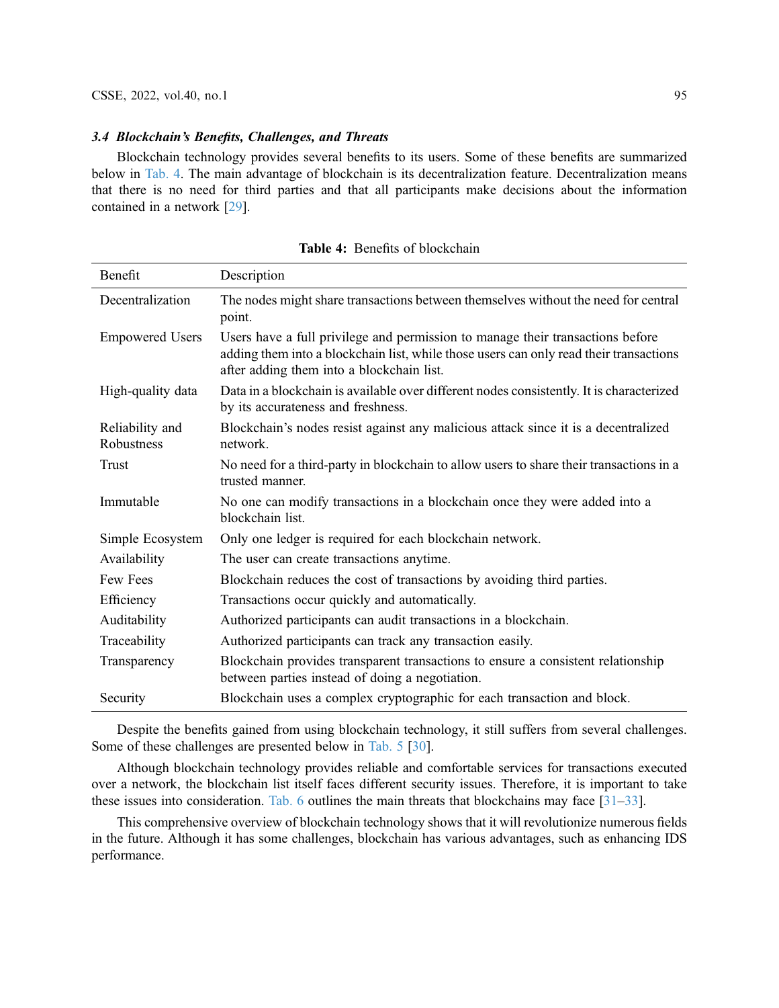#### 3.4 Blockchain's Benefits, Challenges, and Threats

Blockchain technology provides several benefits to its users. Some of these benefits are summarized below in [Tab. 4.](#page-8-0) The main advantage of blockchain is its decentralization feature. Decentralization means that there is no need for third parties and that all participants make decisions about the information contained in a network [[29\]](#page-22-17).

<span id="page-8-0"></span>

| Benefit                       | Description                                                                                                                                                                                                           |
|-------------------------------|-----------------------------------------------------------------------------------------------------------------------------------------------------------------------------------------------------------------------|
| Decentralization              | The nodes might share transactions between themselves without the need for central<br>point.                                                                                                                          |
| <b>Empowered Users</b>        | Users have a full privilege and permission to manage their transactions before<br>adding them into a blockchain list, while those users can only read their transactions<br>after adding them into a blockchain list. |
| High-quality data             | Data in a blockchain is available over different nodes consistently. It is characterized<br>by its accurateness and freshness.                                                                                        |
| Reliability and<br>Robustness | Blockchain's nodes resist against any malicious attack since it is a decentralized<br>network.                                                                                                                        |
| Trust                         | No need for a third-party in blockchain to allow users to share their transactions in a<br>trusted manner.                                                                                                            |
| Immutable                     | No one can modify transactions in a blockchain once they were added into a<br>blockchain list.                                                                                                                        |
| Simple Ecosystem              | Only one ledger is required for each blockchain network.                                                                                                                                                              |
| Availability                  | The user can create transactions anytime.                                                                                                                                                                             |
| Few Fees                      | Blockchain reduces the cost of transactions by avoiding third parties.                                                                                                                                                |
| Efficiency                    | Transactions occur quickly and automatically.                                                                                                                                                                         |
| Auditability                  | Authorized participants can audit transactions in a blockchain.                                                                                                                                                       |
| Traceability                  | Authorized participants can track any transaction easily.                                                                                                                                                             |
| Transparency                  | Blockchain provides transparent transactions to ensure a consistent relationship<br>between parties instead of doing a negotiation.                                                                                   |
| Security                      | Blockchain uses a complex cryptographic for each transaction and block.                                                                                                                                               |

Table 4: Benefits of blockchain

Despite the benefits gained from using blockchain technology, it still suffers from several challenges. Some of these challenges are presented below in [Tab. 5](#page-9-0) [\[30](#page-22-18)].

Although blockchain technology provides reliable and comfortable services for transactions executed over a network, the blockchain list itself faces different security issues. Therefore, it is important to take these issues into consideration. [Tab. 6](#page-9-1) outlines the main threats that blockchains may face [[31](#page-22-19)–[33](#page-22-20)].

This comprehensive overview of blockchain technology shows that it will revolutionize numerous fields in the future. Although it has some challenges, blockchain has various advantages, such as enhancing IDS performance.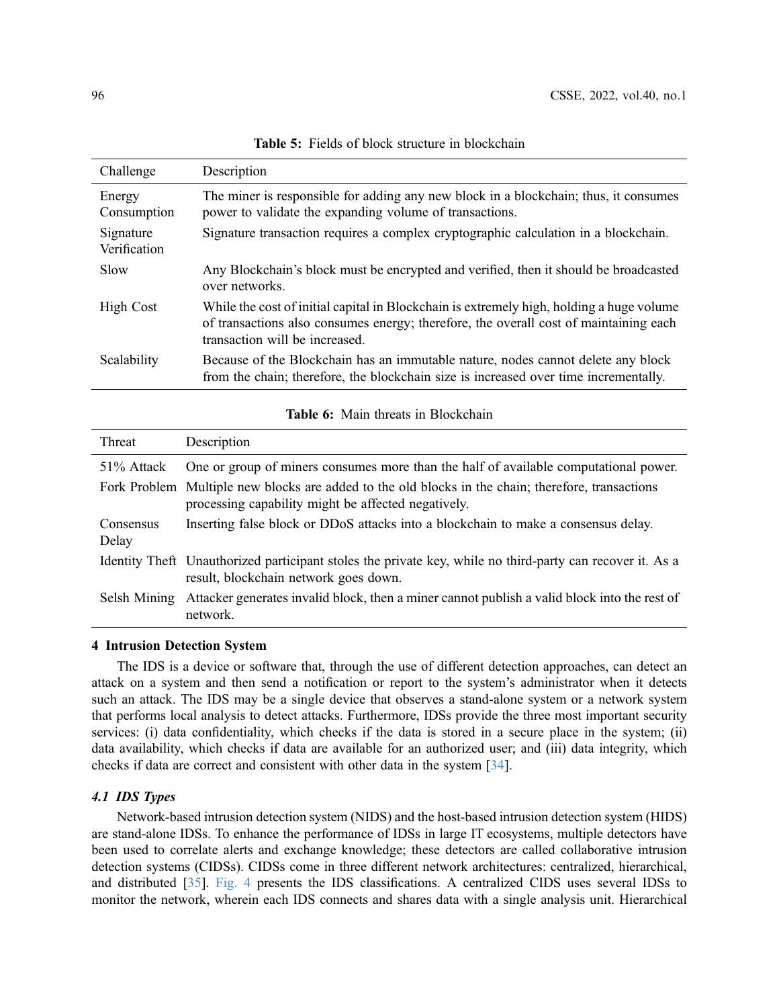<span id="page-9-0"></span>

| Challenge                 | Description                                                                                                                                                                                                         |
|---------------------------|---------------------------------------------------------------------------------------------------------------------------------------------------------------------------------------------------------------------|
| Energy<br>Consumption     | The miner is responsible for adding any new block in a blockchain; thus, it consumes<br>power to validate the expanding volume of transactions.                                                                     |
| Signature<br>Verification | Signature transaction requires a complex cryptographic calculation in a blockchain.                                                                                                                                 |
| Slow                      | Any Blockchain's block must be encrypted and verified, then it should be broadcasted<br>over networks.                                                                                                              |
| <b>High Cost</b>          | While the cost of initial capital in Blockchain is extremely high, holding a huge volume<br>of transactions also consumes energy; therefore, the overall cost of maintaining each<br>transaction will be increased. |
| Scalability               | Because of the Blockchain has an immutable nature, nodes cannot delete any block<br>from the chain; therefore, the blockchain size is increased over time incrementally.                                            |

Table 5: Fields of block structure in blockchain

Table 6: Main threats in Blockchain

<span id="page-9-1"></span>

| Threat             | Description                                                                                                                                               |
|--------------------|-----------------------------------------------------------------------------------------------------------------------------------------------------------|
| 51% Attack         | One or group of miners consumes more than the half of available computational power.                                                                      |
|                    | Fork Problem Multiple new blocks are added to the old blocks in the chain; therefore, transactions<br>processing capability might be affected negatively. |
| Consensus<br>Delay | Inserting false block or DDoS attacks into a blockchain to make a consensus delay.                                                                        |
|                    | Identity Theft Unauthorized participant stoles the private key, while no third-party can recover it. As a<br>result, blockchain network goes down.        |
| Selsh Mining       | Attacker generates invalid block, then a miner cannot publish a valid block into the rest of<br>network.                                                  |

# 4 Intrusion Detection System

The IDS is a device or software that, through the use of different detection approaches, can detect an attack on a system and then send a notification or report to the system's administrator when it detects such an attack. The IDS may be a single device that observes a stand-alone system or a network system that performs local analysis to detect attacks. Furthermore, IDSs provide the three most important security services: (i) data confidentiality, which checks if the data is stored in a secure place in the system; (ii) data availability, which checks if data are available for an authorized user; and (iii) data integrity, which checks if data are correct and consistent with other data in the system [[34\]](#page-23-0).

## 4.1 IDS Types

Network-based intrusion detection system (NIDS) and the host-based intrusion detection system (HIDS) are stand-alone IDSs. To enhance the performance of IDSs in large IT ecosystems, multiple detectors have been used to correlate alerts and exchange knowledge; these detectors are called collaborative intrusion detection systems (CIDSs). CIDSs come in three different network architectures: centralized, hierarchical, and distributed [\[35](#page-23-1)]. [Fig. 4](#page-6-0) presents the IDS classifications. A centralized CIDS uses several IDSs to monitor the network, wherein each IDS connects and shares data with a single analysis unit. Hierarchical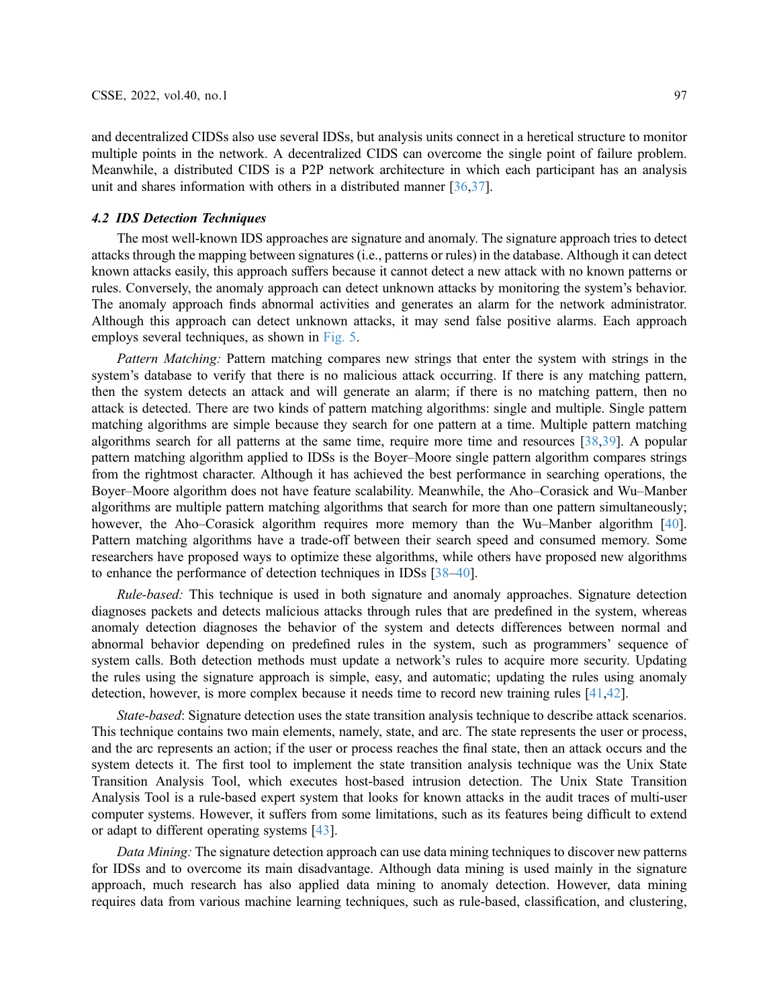and decentralized CIDSs also use several IDSs, but analysis units connect in a heretical structure to monitor multiple points in the network. A decentralized CIDS can overcome the single point of failure problem. Meanwhile, a distributed CIDS is a P2P network architecture in which each participant has an analysis unit and shares information with others in a distributed manner [[36](#page-23-2)[,37](#page-23-3)].

# 4.2 IDS Detection Techniques

The most well-known IDS approaches are signature and anomaly. The signature approach tries to detect attacks through the mapping between signatures (i.e., patterns or rules) in the database. Although it can detect known attacks easily, this approach suffers because it cannot detect a new attack with no known patterns or rules. Conversely, the anomaly approach can detect unknown attacks by monitoring the system's behavior. The anomaly approach finds abnormal activities and generates an alarm for the network administrator. Although this approach can detect unknown attacks, it may send false positive alarms. Each approach employs several techniques, as shown in [Fig. 5](#page-7-0).

Pattern Matching: Pattern matching compares new strings that enter the system with strings in the system's database to verify that there is no malicious attack occurring. If there is any matching pattern, then the system detects an attack and will generate an alarm; if there is no matching pattern, then no attack is detected. There are two kinds of pattern matching algorithms: single and multiple. Single pattern matching algorithms are simple because they search for one pattern at a time. Multiple pattern matching algorithms search for all patterns at the same time, require more time and resources [[38](#page-23-4)[,39](#page-23-5)]. A popular pattern matching algorithm applied to IDSs is the Boyer–Moore single pattern algorithm compares strings from the rightmost character. Although it has achieved the best performance in searching operations, the Boyer–Moore algorithm does not have feature scalability. Meanwhile, the Aho–Corasick and Wu–Manber algorithms are multiple pattern matching algorithms that search for more than one pattern simultaneously; however, the Aho–Corasick algorithm requires more memory than the Wu–Manber algorithm [[40\]](#page-23-6). Pattern matching algorithms have a trade-off between their search speed and consumed memory. Some researchers have proposed ways to optimize these algorithms, while others have proposed new algorithms to enhance the performance of detection techniques in IDSs [\[38](#page-23-4)–[40\]](#page-23-6).

Rule-based: This technique is used in both signature and anomaly approaches. Signature detection diagnoses packets and detects malicious attacks through rules that are predefined in the system, whereas anomaly detection diagnoses the behavior of the system and detects differences between normal and abnormal behavior depending on predefined rules in the system, such as programmers' sequence of system calls. Both detection methods must update a network's rules to acquire more security. Updating the rules using the signature approach is simple, easy, and automatic; updating the rules using anomaly detection, however, is more complex because it needs time to record new training rules [\[41](#page-23-7)[,42](#page-23-8)].

State-based: Signature detection uses the state transition analysis technique to describe attack scenarios. This technique contains two main elements, namely, state, and arc. The state represents the user or process, and the arc represents an action; if the user or process reaches the final state, then an attack occurs and the system detects it. The first tool to implement the state transition analysis technique was the Unix State Transition Analysis Tool, which executes host-based intrusion detection. The Unix State Transition Analysis Tool is a rule-based expert system that looks for known attacks in the audit traces of multi-user computer systems. However, it suffers from some limitations, such as its features being difficult to extend or adapt to different operating systems [\[43](#page-23-9)].

Data Mining: The signature detection approach can use data mining techniques to discover new patterns for IDSs and to overcome its main disadvantage. Although data mining is used mainly in the signature approach, much research has also applied data mining to anomaly detection. However, data mining requires data from various machine learning techniques, such as rule-based, classification, and clustering,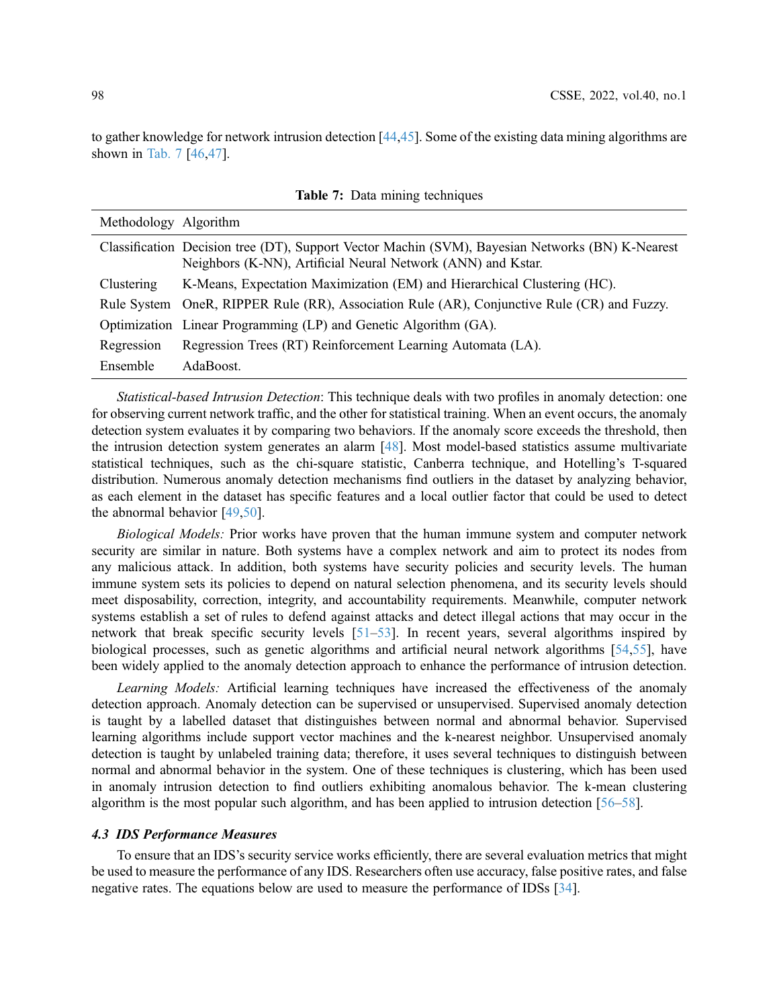to gather knowledge for network intrusion detection [\[44](#page-23-10),[45\]](#page-23-11). Some of the existing data mining algorithms are shown in [Tab. 7](#page-11-0) [\[46,](#page-23-12)[47\]](#page-23-13).

<span id="page-11-0"></span>

| Methodology Algorithm |                                                                                                                                                                  |
|-----------------------|------------------------------------------------------------------------------------------------------------------------------------------------------------------|
|                       | Classification Decision tree (DT), Support Vector Machin (SVM), Bayesian Networks (BN) K-Nearest<br>Neighbors (K-NN), Artificial Neural Network (ANN) and Kstar. |
| Clustering            | K-Means, Expectation Maximization (EM) and Hierarchical Clustering (HC).                                                                                         |
|                       | Rule System OneR, RIPPER Rule (RR), Association Rule (AR), Conjunctive Rule (CR) and Fuzzy.                                                                      |
|                       | Optimization Linear Programming (LP) and Genetic Algorithm (GA).                                                                                                 |
| Regression            | Regression Trees (RT) Reinforcement Learning Automata (LA).                                                                                                      |
| Ensemble              | AdaBoost.                                                                                                                                                        |

Table 7: Data mining techniques

Statistical-based Intrusion Detection: This technique deals with two profiles in anomaly detection: one for observing current network traffic, and the other for statistical training. When an event occurs, the anomaly detection system evaluates it by comparing two behaviors. If the anomaly score exceeds the threshold, then the intrusion detection system generates an alarm [[48\]](#page-23-14). Most model-based statistics assume multivariate statistical techniques, such as the chi-square statistic, Canberra technique, and Hotelling's T-squared distribution. Numerous anomaly detection mechanisms find outliers in the dataset by analyzing behavior, as each element in the dataset has specific features and a local outlier factor that could be used to detect the abnormal behavior [[49](#page-23-15)[,50](#page-23-16)].

Biological Models: Prior works have proven that the human immune system and computer network security are similar in nature. Both systems have a complex network and aim to protect its nodes from any malicious attack. In addition, both systems have security policies and security levels. The human immune system sets its policies to depend on natural selection phenomena, and its security levels should meet disposability, correction, integrity, and accountability requirements. Meanwhile, computer network systems establish a set of rules to defend against attacks and detect illegal actions that may occur in the network that break specific security levels [\[51](#page-23-17)–[53\]](#page-23-18). In recent years, several algorithms inspired by biological processes, such as genetic algorithms and artificial neural network algorithms [[54](#page-24-0)[,55](#page-24-1)], have been widely applied to the anomaly detection approach to enhance the performance of intrusion detection.

Learning Models: Artificial learning techniques have increased the effectiveness of the anomaly detection approach. Anomaly detection can be supervised or unsupervised. Supervised anomaly detection is taught by a labelled dataset that distinguishes between normal and abnormal behavior. Supervised learning algorithms include support vector machines and the k-nearest neighbor. Unsupervised anomaly detection is taught by unlabeled training data; therefore, it uses several techniques to distinguish between normal and abnormal behavior in the system. One of these techniques is clustering, which has been used in anomaly intrusion detection to find outliers exhibiting anomalous behavior. The k-mean clustering algorithm is the most popular such algorithm, and has been applied to intrusion detection [\[56](#page-24-2)–[58\]](#page-24-3).

## 4.3 IDS Performance Measures

To ensure that an IDS's security service works efficiently, there are several evaluation metrics that might be used to measure the performance of any IDS. Researchers often use accuracy, false positive rates, and false negative rates. The equations below are used to measure the performance of IDSs [\[34](#page-23-0)].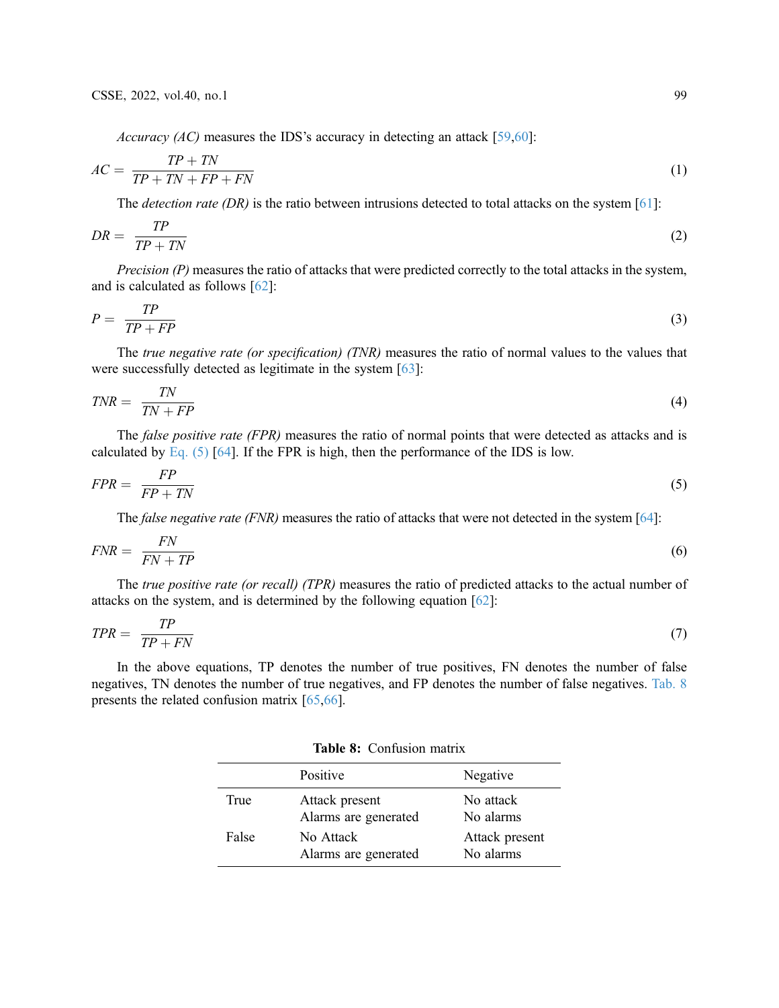Accuracy (AC) measures the IDS's accuracy in detecting an attack [[59,](#page-24-4)[60\]](#page-24-5):

$$
AC = \frac{TP + TN}{TP + TN + FP + FN} \tag{1}
$$

The *detection rate* (DR) is the ratio between intrusions detected to total attacks on the system [[61\]](#page-24-6):

$$
DR = \frac{TP}{TP + TN} \tag{2}
$$

Precision (P) measures the ratio of attacks that were predicted correctly to the total attacks in the system, and is calculated as follows [\[62](#page-24-7)]:

$$
P = \frac{TP}{TP + FP} \tag{3}
$$

The *true negative rate (or specification) (TNR)* measures the ratio of normal values to the values that were successfully detected as legitimate in the system [[63\]](#page-24-8):

$$
TNR = \frac{TN}{TN + FP} \tag{4}
$$

<span id="page-12-0"></span>The *false positive rate (FPR)* measures the ratio of normal points that were detected as attacks and is calculated by Eq.  $(5)$  [[64\]](#page-24-9). If the FPR is high, then the performance of the IDS is low.

$$
FPR = \frac{FP}{FP + TN} \tag{5}
$$

The *false negative rate (FNR)* measures the ratio of attacks that were not detected in the system [\[64\]](#page-24-9):

$$
FNR = \frac{FN}{FN + TP}
$$
\n<sup>(6)</sup>

The *true positive rate (or recall) (TPR)* measures the ratio of predicted attacks to the actual number of attacks on the system, and is determined by the following equation [\[62\]](#page-24-7):

$$
TPR = \frac{TP}{TP + FN} \tag{7}
$$

In the above equations, TP denotes the number of true positives, FN denotes the number of false negatives, TN denotes the number of true negatives, and FP denotes the number of false negatives. [Tab. 8](#page-12-1) presents the related confusion matrix [[65,](#page-24-10)[66\]](#page-24-11).

Table 8: Confusion matrix

<span id="page-12-1"></span>

|       | Positive                               | Negative                    |
|-------|----------------------------------------|-----------------------------|
| True  | Attack present<br>Alarms are generated | No attack<br>No alarms      |
| False | No Attack<br>Alarms are generated      | Attack present<br>No alarms |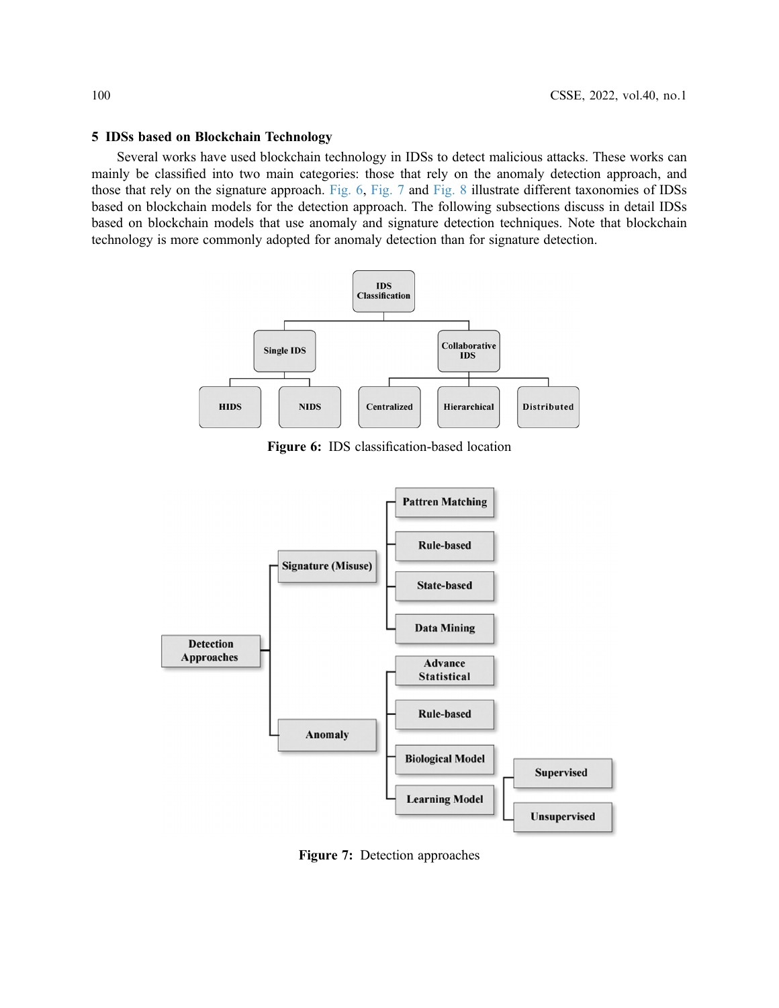## 5 IDSs based on Blockchain Technology

<span id="page-13-0"></span>Several works have used blockchain technology in IDSs to detect malicious attacks. These works can mainly be classified into two main categories: those that rely on the anomaly detection approach, and those that rely on the signature approach. [Fig. 6](#page-13-0), [Fig. 7](#page-13-1) and [Fig. 8](#page-14-0) illustrate different taxonomies of IDSs based on blockchain models for the detection approach. The following subsections discuss in detail IDSs based on blockchain models that use anomaly and signature detection techniques. Note that blockchain technology is more commonly adopted for anomaly detection than for signature detection.



Figure 6: IDS classification-based location

<span id="page-13-1"></span>

Figure 7: Detection approaches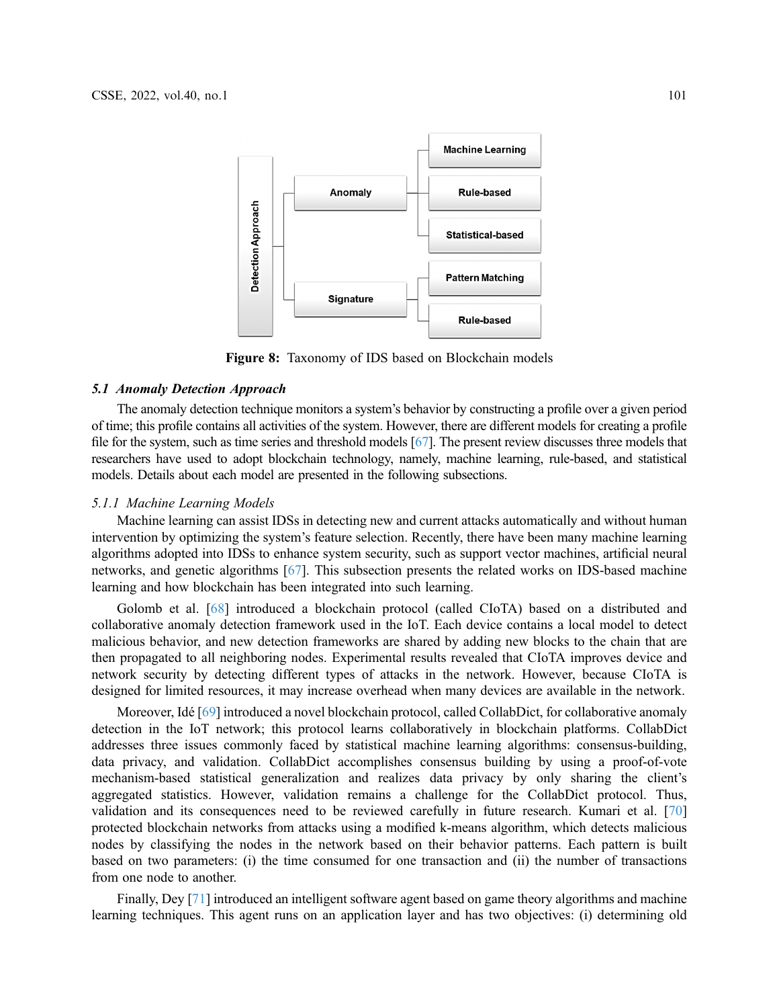<span id="page-14-0"></span>

Figure 8: Taxonomy of IDS based on Blockchain models

#### 5.1 Anomaly Detection Approach

The anomaly detection technique monitors a system's behavior by constructing a profile over a given period of time; this profile contains all activities of the system. However, there are different models for creating a profile file for the system, such as time series and threshold models [\[67\]](#page-24-12). The present review discusses three models that researchers have used to adopt blockchain technology, namely, machine learning, rule-based, and statistical models. Details about each model are presented in the following subsections.

### 5.1.1 Machine Learning Models

Machine learning can assist IDSs in detecting new and current attacks automatically and without human intervention by optimizing the system's feature selection. Recently, there have been many machine learning algorithms adopted into IDSs to enhance system security, such as support vector machines, artificial neural networks, and genetic algorithms [\[67](#page-24-12)]. This subsection presents the related works on IDS-based machine learning and how blockchain has been integrated into such learning.

Golomb et al. [[68\]](#page-24-13) introduced a blockchain protocol (called CIoTA) based on a distributed and collaborative anomaly detection framework used in the IoT. Each device contains a local model to detect malicious behavior, and new detection frameworks are shared by adding new blocks to the chain that are then propagated to all neighboring nodes. Experimental results revealed that CIoTA improves device and network security by detecting different types of attacks in the network. However, because CIoTA is designed for limited resources, it may increase overhead when many devices are available in the network.

Moreover, Idé [[69\]](#page-24-14) introduced a novel blockchain protocol, called CollabDict, for collaborative anomaly detection in the IoT network; this protocol learns collaboratively in blockchain platforms. CollabDict addresses three issues commonly faced by statistical machine learning algorithms: consensus-building, data privacy, and validation. CollabDict accomplishes consensus building by using a proof-of-vote mechanism-based statistical generalization and realizes data privacy by only sharing the client's aggregated statistics. However, validation remains a challenge for the CollabDict protocol. Thus, validation and its consequences need to be reviewed carefully in future research. Kumari et al. [[70\]](#page-24-15) protected blockchain networks from attacks using a modified k-means algorithm, which detects malicious nodes by classifying the nodes in the network based on their behavior patterns. Each pattern is built based on two parameters: (i) the time consumed for one transaction and (ii) the number of transactions from one node to another.

Finally, Dey [[71\]](#page-24-16) introduced an intelligent software agent based on game theory algorithms and machine learning techniques. This agent runs on an application layer and has two objectives: (i) determining old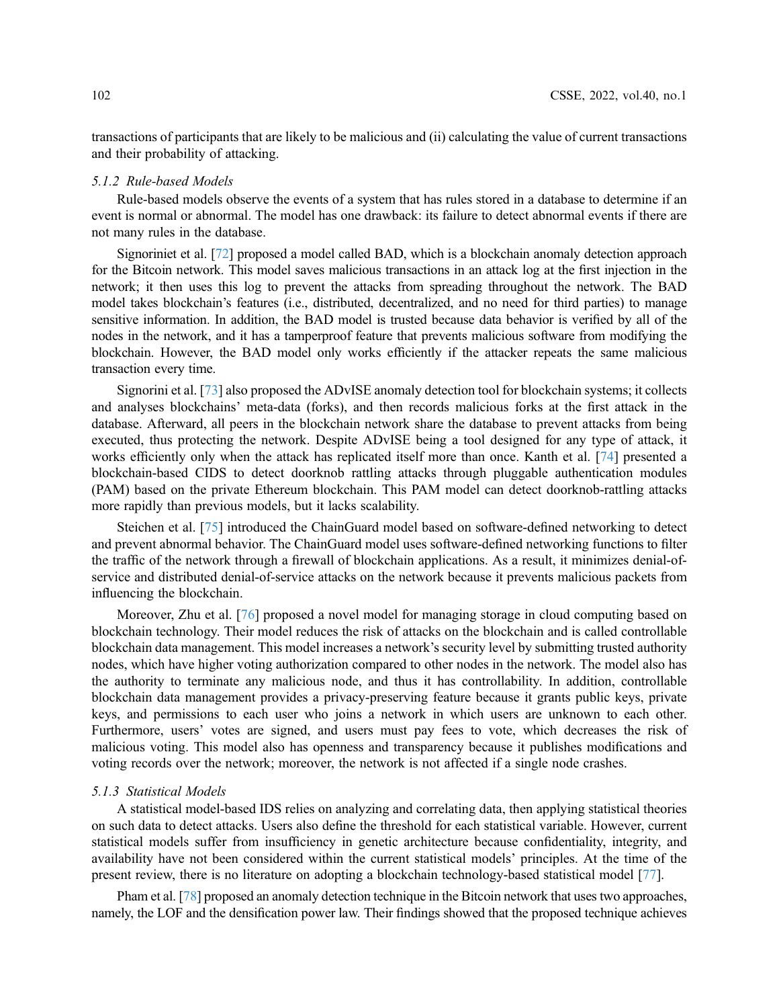transactions of participants that are likely to be malicious and (ii) calculating the value of current transactions and their probability of attacking.

#### 5.1.2 Rule-based Models

Rule-based models observe the events of a system that has rules stored in a database to determine if an event is normal or abnormal. The model has one drawback: its failure to detect abnormal events if there are not many rules in the database.

Signoriniet et al. [\[72\]](#page-24-17) proposed a model called BAD, which is a blockchain anomaly detection approach for the Bitcoin network. This model saves malicious transactions in an attack log at the first injection in the network; it then uses this log to prevent the attacks from spreading throughout the network. The BAD model takes blockchain's features (i.e., distributed, decentralized, and no need for third parties) to manage sensitive information. In addition, the BAD model is trusted because data behavior is verified by all of the nodes in the network, and it has a tamperproof feature that prevents malicious software from modifying the blockchain. However, the BAD model only works efficiently if the attacker repeats the same malicious transaction every time.

Signorini et al. [[73\]](#page-24-18) also proposed the ADvISE anomaly detection tool for blockchain systems; it collects and analyses blockchains' meta-data (forks), and then records malicious forks at the first attack in the database. Afterward, all peers in the blockchain network share the database to prevent attacks from being executed, thus protecting the network. Despite ADvISE being a tool designed for any type of attack, it works efficiently only when the attack has replicated itself more than once. Kanth et al. [[74\]](#page-24-19) presented a blockchain-based CIDS to detect doorknob rattling attacks through pluggable authentication modules (PAM) based on the private Ethereum blockchain. This PAM model can detect doorknob-rattling attacks more rapidly than previous models, but it lacks scalability.

Steichen et al. [[75\]](#page-25-0) introduced the ChainGuard model based on software-defined networking to detect and prevent abnormal behavior. The ChainGuard model uses software-defined networking functions to filter the traffic of the network through a firewall of blockchain applications. As a result, it minimizes denial-ofservice and distributed denial-of-service attacks on the network because it prevents malicious packets from influencing the blockchain.

Moreover, Zhu et al. [\[76](#page-25-1)] proposed a novel model for managing storage in cloud computing based on blockchain technology. Their model reduces the risk of attacks on the blockchain and is called controllable blockchain data management. This model increases a network's security level by submitting trusted authority nodes, which have higher voting authorization compared to other nodes in the network. The model also has the authority to terminate any malicious node, and thus it has controllability. In addition, controllable blockchain data management provides a privacy-preserving feature because it grants public keys, private keys, and permissions to each user who joins a network in which users are unknown to each other. Furthermore, users' votes are signed, and users must pay fees to vote, which decreases the risk of malicious voting. This model also has openness and transparency because it publishes modifications and voting records over the network; moreover, the network is not affected if a single node crashes.

# 5.1.3 Statistical Models

A statistical model-based IDS relies on analyzing and correlating data, then applying statistical theories on such data to detect attacks. Users also define the threshold for each statistical variable. However, current statistical models suffer from insufficiency in genetic architecture because confidentiality, integrity, and availability have not been considered within the current statistical models' principles. At the time of the present review, there is no literature on adopting a blockchain technology-based statistical model [\[77](#page-25-2)].

Pham et al. [\[78\]](#page-25-3) proposed an anomaly detection technique in the Bitcoin network that uses two approaches, namely, the LOF and the densification power law. Their findings showed that the proposed technique achieves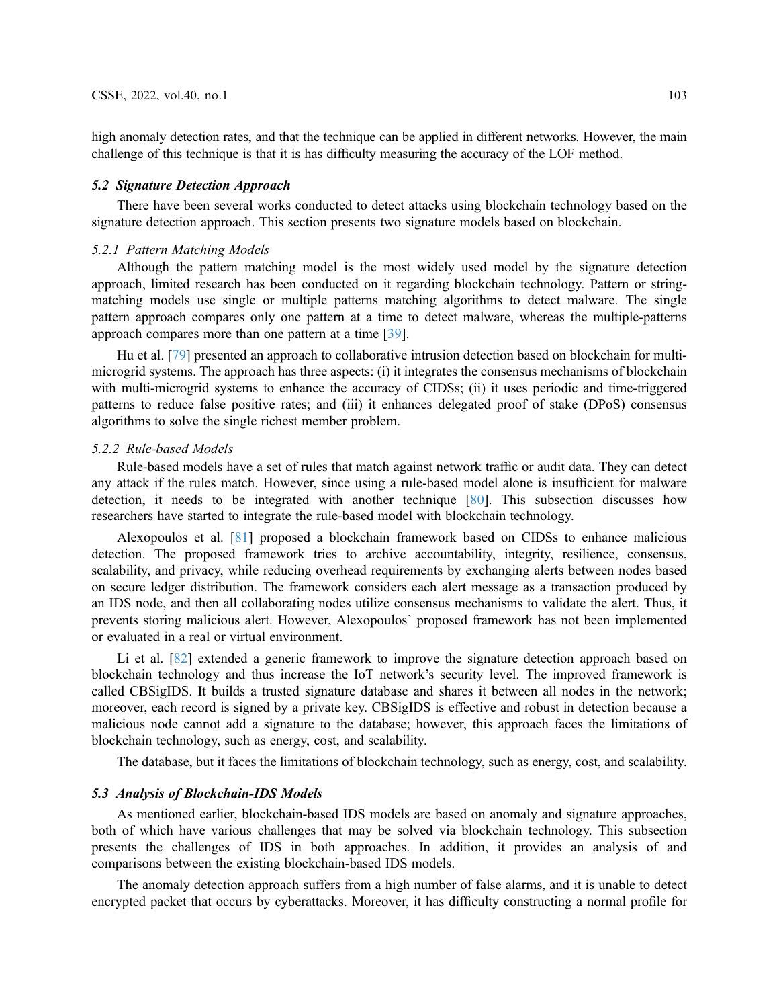high anomaly detection rates, and that the technique can be applied in different networks. However, the main challenge of this technique is that it is has difficulty measuring the accuracy of the LOF method.

## 5.2 Signature Detection Approach

There have been several works conducted to detect attacks using blockchain technology based on the signature detection approach. This section presents two signature models based on blockchain.

## 5.2.1 Pattern Matching Models

Although the pattern matching model is the most widely used model by the signature detection approach, limited research has been conducted on it regarding blockchain technology. Pattern or stringmatching models use single or multiple patterns matching algorithms to detect malware. The single pattern approach compares only one pattern at a time to detect malware, whereas the multiple-patterns approach compares more than one pattern at a time [[39\]](#page-23-5).

Hu et al. [\[79](#page-25-4)] presented an approach to collaborative intrusion detection based on blockchain for multimicrogrid systems. The approach has three aspects: (i) it integrates the consensus mechanisms of blockchain with multi-microgrid systems to enhance the accuracy of CIDSs; (ii) it uses periodic and time-triggered patterns to reduce false positive rates; and (iii) it enhances delegated proof of stake (DPoS) consensus algorithms to solve the single richest member problem.

#### 5.2.2 Rule-based Models

Rule-based models have a set of rules that match against network traffic or audit data. They can detect any attack if the rules match. However, since using a rule-based model alone is insufficient for malware detection, it needs to be integrated with another technique [[80\]](#page-25-5). This subsection discusses how researchers have started to integrate the rule-based model with blockchain technology.

Alexopoulos et al. [[81](#page-25-6)] proposed a blockchain framework based on CIDSs to enhance malicious detection. The proposed framework tries to archive accountability, integrity, resilience, consensus, scalability, and privacy, while reducing overhead requirements by exchanging alerts between nodes based on secure ledger distribution. The framework considers each alert message as a transaction produced by an IDS node, and then all collaborating nodes utilize consensus mechanisms to validate the alert. Thus, it prevents storing malicious alert. However, Alexopoulos' proposed framework has not been implemented or evaluated in a real or virtual environment.

Li et al. [[82\]](#page-25-7) extended a generic framework to improve the signature detection approach based on blockchain technology and thus increase the IoT network's security level. The improved framework is called CBSigIDS. It builds a trusted signature database and shares it between all nodes in the network; moreover, each record is signed by a private key. CBSigIDS is effective and robust in detection because a malicious node cannot add a signature to the database; however, this approach faces the limitations of blockchain technology, such as energy, cost, and scalability.

The database, but it faces the limitations of blockchain technology, such as energy, cost, and scalability.

## 5.3 Analysis of Blockchain-IDS Models

As mentioned earlier, blockchain-based IDS models are based on anomaly and signature approaches, both of which have various challenges that may be solved via blockchain technology. This subsection presents the challenges of IDS in both approaches. In addition, it provides an analysis of and comparisons between the existing blockchain-based IDS models.

The anomaly detection approach suffers from a high number of false alarms, and it is unable to detect encrypted packet that occurs by cyberattacks. Moreover, it has difficulty constructing a normal profile for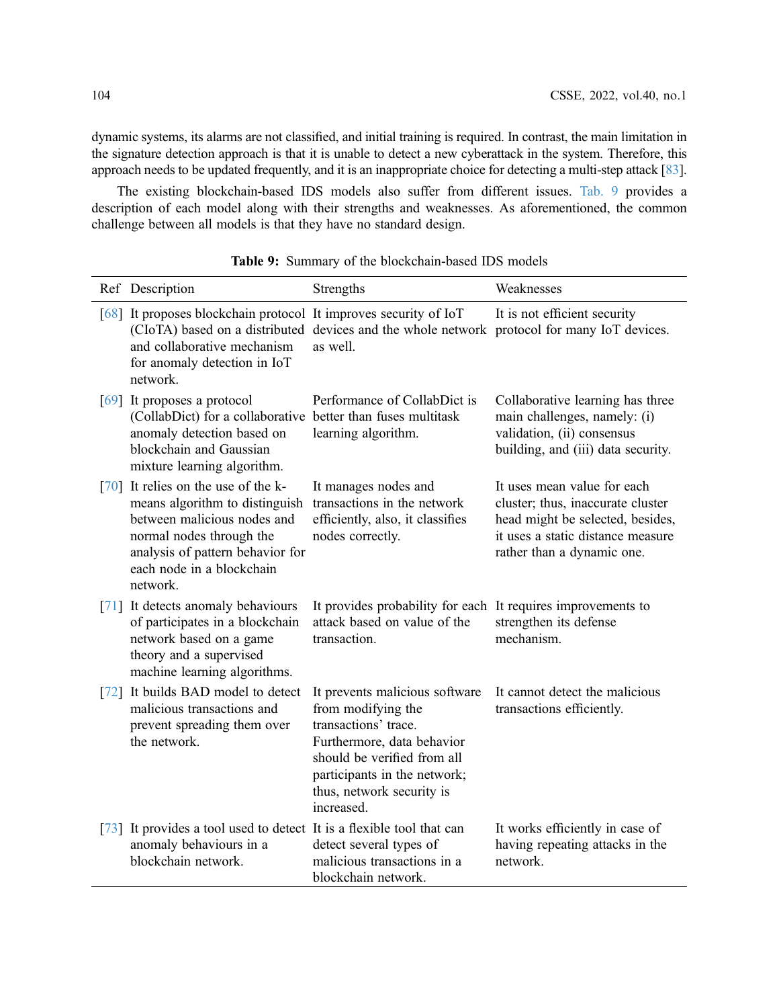dynamic systems, its alarms are not classified, and initial training is required. In contrast, the main limitation in the signature detection approach is that it is unable to detect a new cyberattack in the system. Therefore, this approach needs to be updated frequently, and it is an inappropriate choice for detecting a multi-step attack [\[83\]](#page-25-8).

The existing blockchain-based IDS models also suffer from different issues. [Tab. 9](#page-17-0) provides a description of each model along with their strengths and weaknesses. As aforementioned, the common challenge between all models is that they have no standard design.

<span id="page-17-0"></span>

|                    | Ref Description                                                                                                                                                                                          | Strengths                                                                                                                                                                                                            | Weaknesses                                                                                                                                                              |
|--------------------|----------------------------------------------------------------------------------------------------------------------------------------------------------------------------------------------------------|----------------------------------------------------------------------------------------------------------------------------------------------------------------------------------------------------------------------|-------------------------------------------------------------------------------------------------------------------------------------------------------------------------|
|                    | [68] It proposes blockchain protocol It improves security of IoT<br>and collaborative mechanism<br>for anomaly detection in IoT<br>network.                                                              | (CIoTA) based on a distributed devices and the whole network protocol for many IoT devices.<br>as well.                                                                                                              | It is not efficient security                                                                                                                                            |
|                    | [69] It proposes a protocol<br>(CollabDict) for a collaborative better than fuses multitask<br>anomaly detection based on<br>blockchain and Gaussian<br>mixture learning algorithm.                      | Performance of CollabDict is<br>learning algorithm.                                                                                                                                                                  | Collaborative learning has three<br>main challenges, namely: (i)<br>validation, (ii) consensus<br>building, and (iii) data security.                                    |
| [70]               | It relies on the use of the k-<br>means algorithm to distinguish<br>between malicious nodes and<br>normal nodes through the<br>analysis of pattern behavior for<br>each node in a blockchain<br>network. | It manages nodes and<br>transactions in the network<br>efficiently, also, it classifies<br>nodes correctly.                                                                                                          | It uses mean value for each<br>cluster; thus, inaccurate cluster<br>head might be selected, besides,<br>it uses a static distance measure<br>rather than a dynamic one. |
|                    | [71] It detects anomaly behaviours<br>of participates in a blockchain<br>network based on a game<br>theory and a supervised<br>machine learning algorithms.                                              | It provides probability for each It requires improvements to<br>attack based on value of the<br>transaction.                                                                                                         | strengthen its defense<br>mechanism.                                                                                                                                    |
| $\lceil 72 \rceil$ | It builds BAD model to detect<br>malicious transactions and<br>prevent spreading them over<br>the network.                                                                                               | It prevents malicious software<br>from modifying the<br>transactions' trace.<br>Furthermore, data behavior<br>should be verified from all<br>participants in the network;<br>thus, network security is<br>increased. | It cannot detect the malicious<br>transactions efficiently.                                                                                                             |
|                    | [73] It provides a tool used to detect It is a flexible tool that can<br>anomaly behaviours in a<br>blockchain network.                                                                                  | detect several types of<br>malicious transactions in a<br>blockchain network.                                                                                                                                        | It works efficiently in case of<br>having repeating attacks in the<br>network.                                                                                          |

Table 9: Summary of the blockchain-based IDS models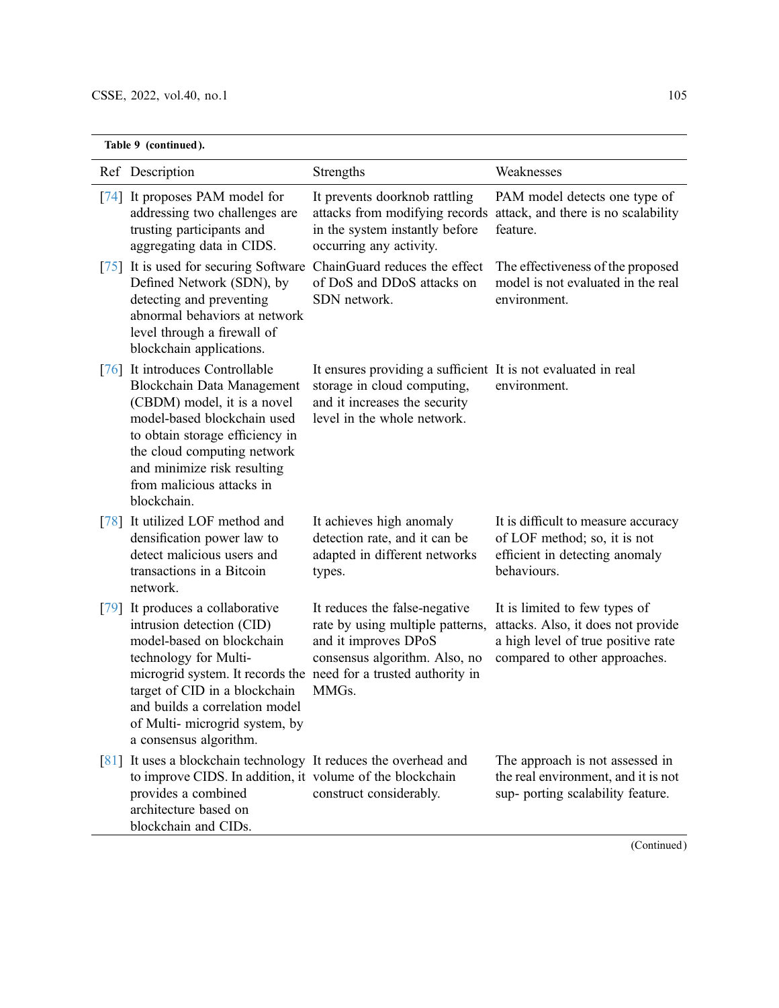|                    | Table 9 (continued).                                                                                                                                                                                                                                                                                             |                                                                                                                                                              |                                                                                                                                            |  |
|--------------------|------------------------------------------------------------------------------------------------------------------------------------------------------------------------------------------------------------------------------------------------------------------------------------------------------------------|--------------------------------------------------------------------------------------------------------------------------------------------------------------|--------------------------------------------------------------------------------------------------------------------------------------------|--|
|                    | Ref Description                                                                                                                                                                                                                                                                                                  | Strengths                                                                                                                                                    | Weaknesses                                                                                                                                 |  |
|                    | [74] It proposes PAM model for<br>addressing two challenges are<br>trusting participants and<br>aggregating data in CIDS.                                                                                                                                                                                        | It prevents doorknob rattling<br>attacks from modifying records<br>in the system instantly before<br>occurring any activity.                                 | PAM model detects one type of<br>attack, and there is no scalability<br>feature.                                                           |  |
|                    | [75] It is used for securing Software<br>Defined Network (SDN), by<br>detecting and preventing<br>abnormal behaviors at network<br>level through a firewall of<br>blockchain applications.                                                                                                                       | ChainGuard reduces the effect<br>of DoS and DDoS attacks on<br>SDN network.                                                                                  | The effectiveness of the proposed<br>model is not evaluated in the real<br>environment.                                                    |  |
|                    | [76] It introduces Controllable<br>Blockchain Data Management<br>(CBDM) model, it is a novel<br>model-based blockchain used<br>to obtain storage efficiency in<br>the cloud computing network<br>and minimize risk resulting<br>from malicious attacks in<br>blockchain.                                         | It ensures providing a sufficient It is not evaluated in real<br>storage in cloud computing,<br>and it increases the security<br>level in the whole network. | environment.                                                                                                                               |  |
| [78]               | It utilized LOF method and<br>densification power law to<br>detect malicious users and<br>transactions in a Bitcoin<br>network.                                                                                                                                                                                  | It achieves high anomaly<br>detection rate, and it can be<br>adapted in different networks<br>types.                                                         | It is difficult to measure accuracy<br>of LOF method; so, it is not<br>efficient in detecting anomaly<br>behaviours.                       |  |
| [79]               | It produces a collaborative<br>intrusion detection (CID)<br>model-based on blockchain<br>technology for Multi-<br>microgrid system. It records the need for a trusted authority in<br>target of CID in a blockchain<br>and builds a correlation model<br>of Multi-microgrid system, by<br>a consensus algorithm. | It reduces the false-negative<br>rate by using multiple patterns,<br>and it improves DPoS<br>consensus algorithm. Also, no<br>MMGs.                          | It is limited to few types of<br>attacks. Also, it does not provide<br>a high level of true positive rate<br>compared to other approaches. |  |
| $\lceil 81 \rceil$ | It uses a blockchain technology It reduces the overhead and<br>to improve CIDS. In addition, it volume of the blockchain<br>provides a combined<br>architecture based on<br>blockchain and CIDs.                                                                                                                 | construct considerably.                                                                                                                                      | The approach is not assessed in<br>the real environment, and it is not<br>sup- porting scalability feature.                                |  |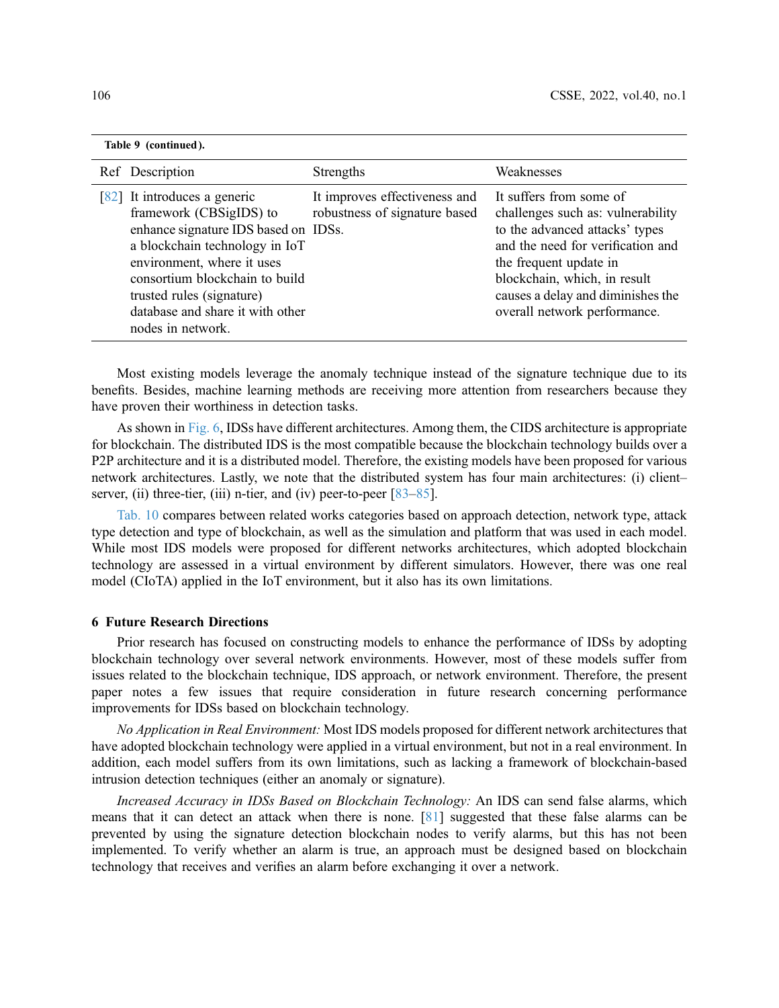| Table 9 (continued).                                                                                                                                                                                                                                                                    |                                                                |                                                                                                                                                                                                                                                                    |
|-----------------------------------------------------------------------------------------------------------------------------------------------------------------------------------------------------------------------------------------------------------------------------------------|----------------------------------------------------------------|--------------------------------------------------------------------------------------------------------------------------------------------------------------------------------------------------------------------------------------------------------------------|
| Ref Description                                                                                                                                                                                                                                                                         | <b>Strengths</b>                                               | Weaknesses                                                                                                                                                                                                                                                         |
| [82] It introduces a generic<br>framework (CBSigIDS) to<br>enhance signature IDS based on IDSs.<br>a blockchain technology in IoT<br>environment, where it uses<br>consortium blockchain to build<br>trusted rules (signature)<br>database and share it with other<br>nodes in network. | It improves effectiveness and<br>robustness of signature based | It suffers from some of<br>challenges such as: vulnerability<br>to the advanced attacks' types<br>and the need for verification and<br>the frequent update in<br>blockchain, which, in result<br>causes a delay and diminishes the<br>overall network performance. |

Most existing models leverage the anomaly technique instead of the signature technique due to its benefits. Besides, machine learning methods are receiving more attention from researchers because they have proven their worthiness in detection tasks.

As shown in [Fig. 6,](#page-13-0) IDSs have different architectures. Among them, the CIDS architecture is appropriate for blockchain. The distributed IDS is the most compatible because the blockchain technology builds over a P2P architecture and it is a distributed model. Therefore, the existing models have been proposed for various network architectures. Lastly, we note that the distributed system has four main architectures: (i) client– server, (ii) three-tier, (iii) n-tier, and (iv) peer-to-peer  $[83-85]$  $[83-85]$  $[83-85]$  $[83-85]$  $[83-85]$ .

[Tab. 10](#page-20-0) compares between related works categories based on approach detection, network type, attack type detection and type of blockchain, as well as the simulation and platform that was used in each model. While most IDS models were proposed for different networks architectures, which adopted blockchain technology are assessed in a virtual environment by different simulators. However, there was one real model (CIoTA) applied in the IoT environment, but it also has its own limitations.

#### 6 Future Research Directions

Prior research has focused on constructing models to enhance the performance of IDSs by adopting blockchain technology over several network environments. However, most of these models suffer from issues related to the blockchain technique, IDS approach, or network environment. Therefore, the present paper notes a few issues that require consideration in future research concerning performance improvements for IDSs based on blockchain technology.

No Application in Real Environment: Most IDS models proposed for different network architectures that have adopted blockchain technology were applied in a virtual environment, but not in a real environment. In addition, each model suffers from its own limitations, such as lacking a framework of blockchain-based intrusion detection techniques (either an anomaly or signature).

Increased Accuracy in IDSs Based on Blockchain Technology: An IDS can send false alarms, which means that it can detect an attack when there is none. [\[81](#page-25-6)] suggested that these false alarms can be prevented by using the signature detection blockchain nodes to verify alarms, but this has not been implemented. To verify whether an alarm is true, an approach must be designed based on blockchain technology that receives and verifies an alarm before exchanging it over a network.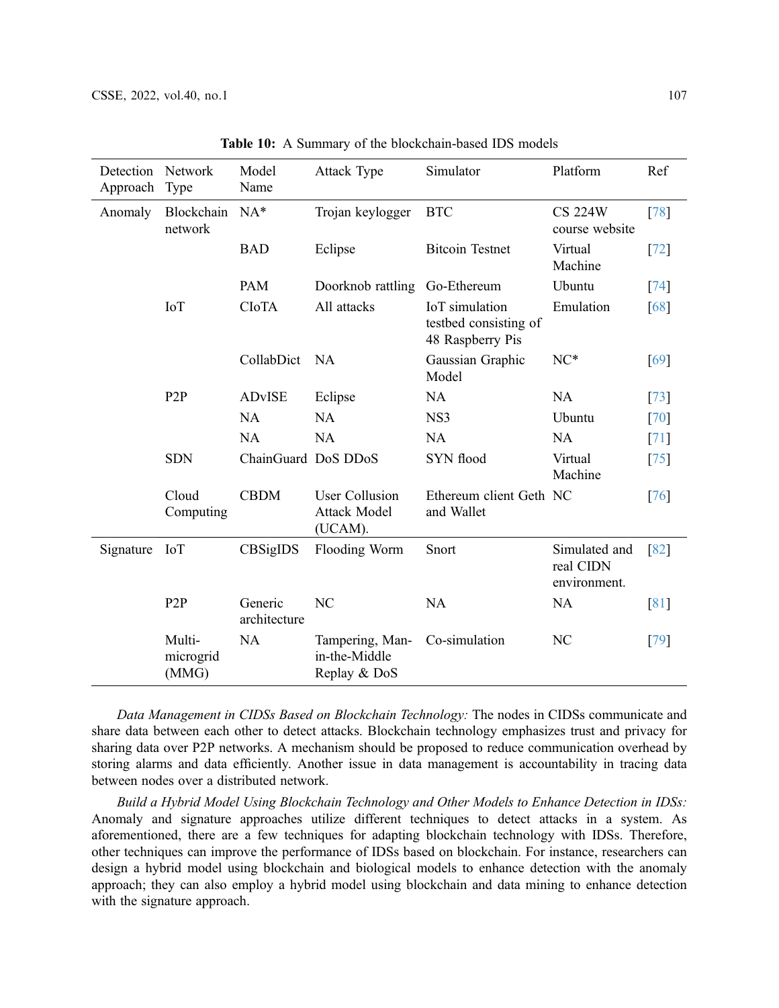<span id="page-20-0"></span>

| <b>Detection</b><br>Approach | Network<br><b>Type</b>       | Model<br>Name           | Attack Type                                             | Simulator                                                   | Platform                                   | Ref                |
|------------------------------|------------------------------|-------------------------|---------------------------------------------------------|-------------------------------------------------------------|--------------------------------------------|--------------------|
| Anomaly                      | Blockchain<br>network        | $NA*$                   | Trojan keylogger                                        | <b>BTC</b>                                                  | <b>CS 224W</b><br>course website           | [78]               |
|                              |                              | <b>BAD</b>              | Eclipse                                                 | <b>Bitcoin Testnet</b>                                      | Virtual<br>Machine                         | $[72]$             |
|                              |                              | <b>PAM</b>              | Doorknob rattling                                       | Go-Ethereum                                                 | Ubuntu                                     | [74]               |
|                              | <b>IoT</b>                   | <b>CIOTA</b>            | All attacks                                             | IoT simulation<br>testbed consisting of<br>48 Raspberry Pis | Emulation                                  | [68]               |
|                              |                              | CollabDict              | <b>NA</b>                                               | Gaussian Graphic<br>Model                                   | $NC*$                                      | [69]               |
|                              | P <sub>2</sub> P             | <b>ADvISE</b>           | Eclipse                                                 | <b>NA</b>                                                   | <b>NA</b>                                  | [73]               |
|                              |                              | <b>NA</b>               | <b>NA</b>                                               | NS3                                                         | Ubuntu                                     | [70]               |
|                              |                              | NA                      | <b>NA</b>                                               | NA                                                          | <b>NA</b>                                  | [71]               |
|                              | <b>SDN</b>                   | ChainGuard DoS DDoS     |                                                         | SYN flood                                                   | Virtual<br>Machine                         | [75]               |
|                              | Cloud<br>Computing           | <b>CBDM</b>             | <b>User Collusion</b><br><b>Attack Model</b><br>(UCAM). | Ethereum client Geth NC<br>and Wallet                       |                                            | [76]               |
| Signature                    | <b>IoT</b>                   | CBSigIDS                | Flooding Worm                                           | Snort                                                       | Simulated and<br>real CIDN<br>environment. | $\lceil 82 \rceil$ |
|                              | P2P                          | Generic<br>architecture | N <sub>C</sub>                                          | <b>NA</b>                                                   | <b>NA</b>                                  | $\lceil 81 \rceil$ |
|                              | Multi-<br>microgrid<br>(MMG) | <b>NA</b>               | Tampering, Man-<br>in-the-Middle<br>Replay & DoS        | Co-simulation                                               | NC                                         | [79]               |

Table 10: A Summary of the blockchain-based IDS models

Data Management in CIDSs Based on Blockchain Technology: The nodes in CIDSs communicate and share data between each other to detect attacks. Blockchain technology emphasizes trust and privacy for sharing data over P2P networks. A mechanism should be proposed to reduce communication overhead by storing alarms and data efficiently. Another issue in data management is accountability in tracing data between nodes over a distributed network.

Build a Hybrid Model Using Blockchain Technology and Other Models to Enhance Detection in IDSs: Anomaly and signature approaches utilize different techniques to detect attacks in a system. As aforementioned, there are a few techniques for adapting blockchain technology with IDSs. Therefore, other techniques can improve the performance of IDSs based on blockchain. For instance, researchers can design a hybrid model using blockchain and biological models to enhance detection with the anomaly approach; they can also employ a hybrid model using blockchain and data mining to enhance detection with the signature approach.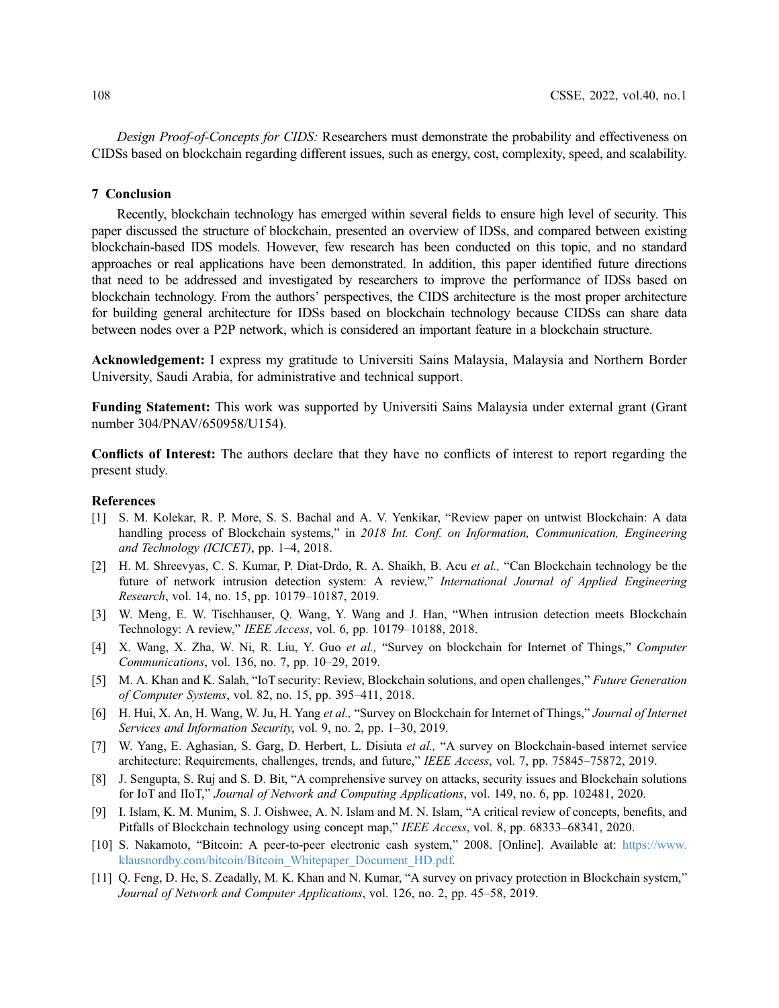Design Proof-of-Concepts for CIDS: Researchers must demonstrate the probability and effectiveness on CIDSs based on blockchain regarding different issues, such as energy, cost, complexity, speed, and scalability.

#### 7 Conclusion

Recently, blockchain technology has emerged within several fields to ensure high level of security. This paper discussed the structure of blockchain, presented an overview of IDSs, and compared between existing blockchain-based IDS models. However, few research has been conducted on this topic, and no standard approaches or real applications have been demonstrated. In addition, this paper identified future directions that need to be addressed and investigated by researchers to improve the performance of IDSs based on blockchain technology. From the authors' perspectives, the CIDS architecture is the most proper architecture for building general architecture for IDSs based on blockchain technology because CIDSs can share data between nodes over a P2P network, which is considered an important feature in a blockchain structure.

Acknowledgement: I express my gratitude to Universiti Sains Malaysia, Malaysia and Northern Border University, Saudi Arabia, for administrative and technical support.

Funding Statement: This work was supported by Universiti Sains Malaysia under external grant (Grant number 304/PNAV/650958/U154).

Conflicts of Interest: The authors declare that they have no conflicts of interest to report regarding the present study.

#### References

- <span id="page-21-0"></span>[1] S. M. Kolekar, R. P. More, S. S. Bachal and A. V. Yenkikar, "Review paper on untwist Blockchain: A data handling process of Blockchain systems," in 2018 Int. Conf. on Information, Communication, Engineering and Technology (ICICET), pp. 1–4, 2018.
- <span id="page-21-1"></span>[2] H. M. Shreevyas, C. S. Kumar, P. Diat-Drdo, R. A. Shaikh, B. Acu et al., "Can Blockchain technology be the future of network intrusion detection system: A review," International Journal of Applied Engineering Research, vol. 14, no. 15, pp. 10179–10187, 2019.
- <span id="page-21-2"></span>[3] W. Meng, E. W. Tischhauser, Q. Wang, Y. Wang and J. Han, "When intrusion detection meets Blockchain Technology: A review," IEEE Access, vol. 6, pp. 10179–10188, 2018.
- <span id="page-21-3"></span>[4] X. Wang, X. Zha, W. Ni, R. Liu, Y. Guo et al., "Survey on blockchain for Internet of Things," Computer Communications, vol. 136, no. 7, pp. 10–29, 2019.
- <span id="page-21-4"></span>[5] M. A. Khan and K. Salah, "IoT security: Review, Blockchain solutions, and open challenges," Future Generation of Computer Systems, vol. 82, no. 15, pp. 395–411, 2018.
- <span id="page-21-5"></span>[6] H. Hui, X. An, H. Wang, W. Ju, H. Yang et al., "Survey on Blockchain for Internet of Things," Journal of Internet Services and Information Security, vol. 9, no. 2, pp. 1–30, 2019.
- <span id="page-21-6"></span>[7] W. Yang, E. Aghasian, S. Garg, D. Herbert, L. Disiuta et al., "A survey on Blockchain-based internet service architecture: Requirements, challenges, trends, and future," IEEE Access, vol. 7, pp. 75845–75872, 2019.
- <span id="page-21-7"></span>[8] J. Sengupta, S. Ruj and S. D. Bit, "A comprehensive survey on attacks, security issues and Blockchain solutions for IoT and IIoT," Journal of Network and Computing Applications, vol. 149, no. 6, pp. 102481, 2020.
- <span id="page-21-8"></span>[9] I. Islam, K. M. Munim, S. J. Oishwee, A. N. Islam and M. N. Islam, "A critical review of concepts, benefits, and Pitfalls of Blockchain technology using concept map," IEEE Access, vol. 8, pp. 68333–68341, 2020.
- <span id="page-21-9"></span>[10] S. Nakamoto, "Bitcoin: A peer-to-peer electronic cash system," 2008. [Online]. Available at: [https://www.](https://www.klausnordby.com/bitcoin/Bitcoin_Whitepaper_Document_HD.pdf) [klausnordby.com/bitcoin/Bitcoin\\_Whitepaper\\_Document\\_HD.pdf](https://www.klausnordby.com/bitcoin/Bitcoin_Whitepaper_Document_HD.pdf).
- <span id="page-21-10"></span>[11] Q. Feng, D. He, S. Zeadally, M. K. Khan and N. Kumar, "A survey on privacy protection in Blockchain system," Journal of Network and Computer Applications, vol. 126, no. 2, pp. 45–58, 2019.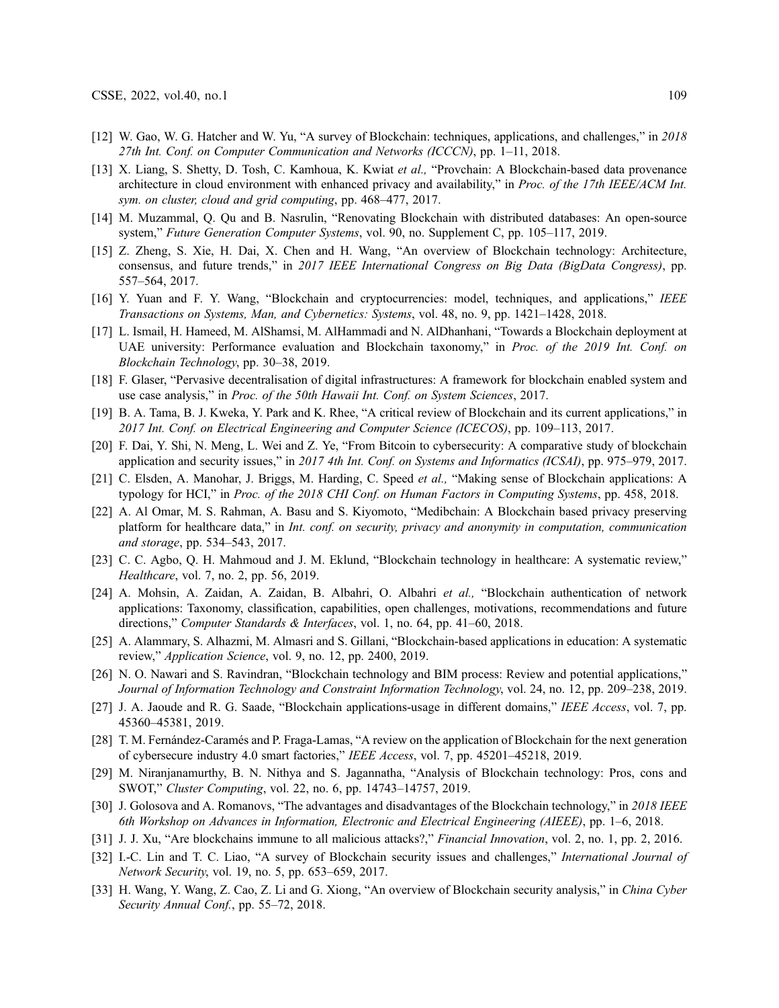- <span id="page-22-0"></span>[12] W. Gao, W. G. Hatcher and W. Yu, "A survey of Blockchain: techniques, applications, and challenges," in 2018 27th Int. Conf. on Computer Communication and Networks (ICCCN), pp. 1–11, 2018.
- <span id="page-22-1"></span>[13] X. Liang, S. Shetty, D. Tosh, C. Kamhoua, K. Kwiat et al., "Provchain: A Blockchain-based data provenance architecture in cloud environment with enhanced privacy and availability," in Proc. of the 17th IEEE/ACM Int. sym. on cluster, cloud and grid computing, pp. 468–477, 2017.
- <span id="page-22-2"></span>[14] M. Muzammal, Q. Qu and B. Nasrulin, "Renovating Blockchain with distributed databases: An open-source system," Future Generation Computer Systems, vol. 90, no. Supplement C, pp. 105–117, 2019.
- <span id="page-22-3"></span>[15] Z. Zheng, S. Xie, H. Dai, X. Chen and H. Wang, "An overview of Blockchain technology: Architecture, consensus, and future trends," in 2017 IEEE International Congress on Big Data (BigData Congress), pp. 557–564, 2017.
- <span id="page-22-4"></span>[16] Y. Yuan and F. Y. Wang, "Blockchain and cryptocurrencies: model, techniques, and applications," IEEE Transactions on Systems, Man, and Cybernetics: Systems, vol. 48, no. 9, pp. 1421–1428, 2018.
- <span id="page-22-5"></span>[17] L. Ismail, H. Hameed, M. AlShamsi, M. AlHammadi and N. AlDhanhani, "Towards a Blockchain deployment at UAE university: Performance evaluation and Blockchain taxonomy," in Proc. of the 2019 Int. Conf. on Blockchain Technology, pp. 30–38, 2019.
- <span id="page-22-6"></span>[18] F. Glaser, "Pervasive decentralisation of digital infrastructures: A framework for blockchain enabled system and use case analysis," in Proc. of the 50th Hawaii Int. Conf. on System Sciences, 2017.
- <span id="page-22-7"></span>[19] B. A. Tama, B. J. Kweka, Y. Park and K. Rhee, "A critical review of Blockchain and its current applications," in 2017 Int. Conf. on Electrical Engineering and Computer Science (ICECOS), pp. 109–113, 2017.
- <span id="page-22-8"></span>[20] F. Dai, Y. Shi, N. Meng, L. Wei and Z. Ye, "From Bitcoin to cybersecurity: A comparative study of blockchain application and security issues," in 2017 4th Int. Conf. on Systems and Informatics (ICSAI), pp. 975–979, 2017.
- <span id="page-22-9"></span>[21] C. Elsden, A. Manohar, J. Briggs, M. Harding, C. Speed *et al.*, "Making sense of Blockchain applications: A typology for HCI," in Proc. of the 2018 CHI Conf. on Human Factors in Computing Systems, pp. 458, 2018.
- <span id="page-22-10"></span>[22] A. Al Omar, M. S. Rahman, A. Basu and S. Kiyomoto, "Medibchain: A Blockchain based privacy preserving platform for healthcare data," in *Int. conf. on security, privacy and anonymity in computation, communication* and storage, pp. 534–543, 2017.
- <span id="page-22-11"></span>[23] C. C. Agbo, Q. H. Mahmoud and J. M. Eklund, "Blockchain technology in healthcare: A systematic review," Healthcare, vol. 7, no. 2, pp. 56, 2019.
- <span id="page-22-12"></span>[24] A. Mohsin, A. Zaidan, A. Zaidan, B. Albahri, O. Albahri et al., "Blockchain authentication of network applications: Taxonomy, classification, capabilities, open challenges, motivations, recommendations and future directions," Computer Standards & Interfaces, vol. 1, no. 64, pp. 41–60, 2018.
- <span id="page-22-13"></span>[25] A. Alammary, S. Alhazmi, M. Almasri and S. Gillani, "Blockchain-based applications in education: A systematic review," Application Science, vol. 9, no. 12, pp. 2400, 2019.
- <span id="page-22-14"></span>[26] N. O. Nawari and S. Ravindran, "Blockchain technology and BIM process: Review and potential applications," Journal of Information Technology and Constraint Information Technology, vol. 24, no. 12, pp. 209–238, 2019.
- <span id="page-22-15"></span>[27] J. A. Jaoude and R. G. Saade, "Blockchain applications-usage in different domains," IEEE Access, vol. 7, pp. 45360–45381, 2019.
- <span id="page-22-16"></span>[28] T. M. Fernández-Caramés and P. Fraga-Lamas, "A review on the application of Blockchain for the next generation of cybersecure industry 4.0 smart factories," IEEE Access, vol. 7, pp. 45201–45218, 2019.
- <span id="page-22-17"></span>[29] M. Niranjanamurthy, B. N. Nithya and S. Jagannatha, "Analysis of Blockchain technology: Pros, cons and SWOT," Cluster Computing, vol. 22, no. 6, pp. 14743–14757, 2019.
- <span id="page-22-18"></span>[30] J. Golosova and A. Romanovs, "The advantages and disadvantages of the Blockchain technology," in 2018 IEEE 6th Workshop on Advances in Information, Electronic and Electrical Engineering (AIEEE), pp. 1–6, 2018.
- <span id="page-22-19"></span>[31] J. J. Xu, "Are blockchains immune to all malicious attacks?," Financial Innovation, vol. 2, no. 1, pp. 2, 2016.
- [32] I.-C. Lin and T. C. Liao, "A survey of Blockchain security issues and challenges," *International Journal of* Network Security, vol. 19, no. 5, pp. 653–659, 2017.
- <span id="page-22-20"></span>[33] H. Wang, Y. Wang, Z. Cao, Z. Li and G. Xiong, "An overview of Blockchain security analysis," in China Cyber Security Annual Conf., pp. 55-72, 2018.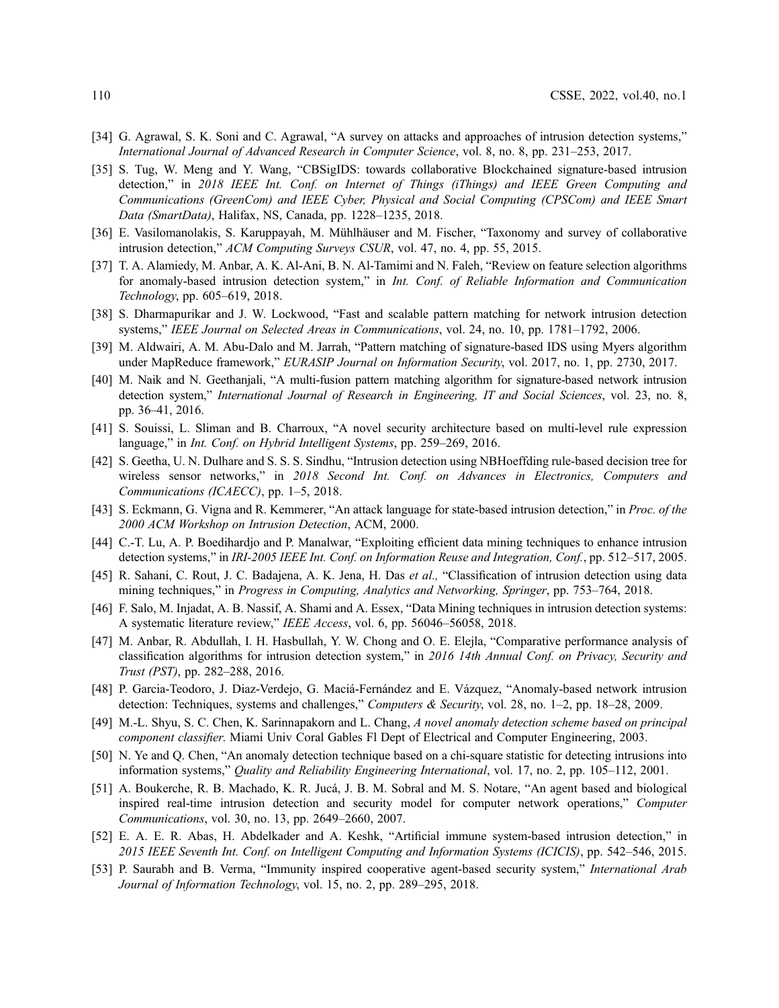- <span id="page-23-0"></span>[34] G. Agrawal, S. K. Soni and C. Agrawal, "A survey on attacks and approaches of intrusion detection systems," International Journal of Advanced Research in Computer Science, vol. 8, no. 8, pp. 231–253, 2017.
- <span id="page-23-1"></span>[35] S. Tug, W. Meng and Y. Wang, "CBSigIDS: towards collaborative Blockchained signature-based intrusion detection," in 2018 IEEE Int. Conf. on Internet of Things (iThings) and IEEE Green Computing and Communications (GreenCom) and IEEE Cyber, Physical and Social Computing (CPSCom) and IEEE Smart Data (SmartData), Halifax, NS, Canada, pp. 1228–1235, 2018.
- <span id="page-23-2"></span>[36] E. Vasilomanolakis, S. Karuppayah, M. Mühlhäuser and M. Fischer, "Taxonomy and survey of collaborative intrusion detection," ACM Computing Surveys CSUR, vol. 47, no. 4, pp. 55, 2015.
- <span id="page-23-3"></span>[37] T. A. Alamiedy, M. Anbar, A. K. Al-Ani, B. N. Al-Tamimi and N. Faleh, "Review on feature selection algorithms for anomaly-based intrusion detection system," in Int. Conf. of Reliable Information and Communication Technology, pp. 605–619, 2018.
- <span id="page-23-4"></span>[38] S. Dharmapurikar and J. W. Lockwood, "Fast and scalable pattern matching for network intrusion detection systems," IEEE Journal on Selected Areas in Communications, vol. 24, no. 10, pp. 1781–1792, 2006.
- <span id="page-23-5"></span>[39] M. Aldwairi, A. M. Abu-Dalo and M. Jarrah, "Pattern matching of signature-based IDS using Myers algorithm under MapReduce framework," EURASIP Journal on Information Security, vol. 2017, no. 1, pp. 2730, 2017.
- <span id="page-23-6"></span>[40] M. Naik and N. Geethanjali, "A multi-fusion pattern matching algorithm for signature-based network intrusion detection system," International Journal of Research in Engineering, IT and Social Sciences, vol. 23, no. 8, pp. 36–41, 2016.
- <span id="page-23-7"></span>[41] S. Souissi, L. Sliman and B. Charroux, "A novel security architecture based on multi-level rule expression language," in *Int. Conf. on Hybrid Intelligent Systems*, pp. 259–269, 2016.
- <span id="page-23-8"></span>[42] S. Geetha, U. N. Dulhare and S. S. S. Sindhu, "Intrusion detection using NBHoeffding rule-based decision tree for wireless sensor networks," in 2018 Second Int. Conf. on Advances in Electronics, Computers and Communications (ICAECC), pp. 1–5, 2018.
- <span id="page-23-9"></span>[43] S. Eckmann, G. Vigna and R. Kemmerer, "An attack language for state-based intrusion detection," in Proc. of the 2000 ACM Workshop on Intrusion Detection, ACM, 2000.
- <span id="page-23-10"></span>[44] C.-T. Lu, A. P. Boedihardjo and P. Manalwar, "Exploiting efficient data mining techniques to enhance intrusion detection systems," in IRI-2005 IEEE Int. Conf. on Information Reuse and Integration, Conf., pp. 512–517, 2005.
- <span id="page-23-11"></span>[45] R. Sahani, C. Rout, J. C. Badajena, A. K. Jena, H. Das et al., "Classification of intrusion detection using data mining techniques," in Progress in Computing, Analytics and Networking, Springer, pp. 753–764, 2018.
- <span id="page-23-12"></span>[46] F. Salo, M. Injadat, A. B. Nassif, A. Shami and A. Essex, "Data Mining techniques in intrusion detection systems: A systematic literature review," IEEE Access, vol. 6, pp. 56046–56058, 2018.
- <span id="page-23-13"></span>[47] M. Anbar, R. Abdullah, I. H. Hasbullah, Y. W. Chong and O. E. Elejla, "Comparative performance analysis of classification algorithms for intrusion detection system," in 2016 14th Annual Conf. on Privacy, Security and Trust (PST), pp. 282–288, 2016.
- <span id="page-23-14"></span>[48] P. Garcia-Teodoro, J. Diaz-Verdejo, G. Maciá-Fernández and E. Vázquez, "Anomaly-based network intrusion detection: Techniques, systems and challenges," Computers & Security, vol. 28, no. 1–2, pp. 18–28, 2009.
- <span id="page-23-15"></span>[49] M.-L. Shyu, S. C. Chen, K. Sarinnapakorn and L. Chang, A novel anomaly detection scheme based on principal component classifier. Miami Univ Coral Gables Fl Dept of Electrical and Computer Engineering, 2003.
- <span id="page-23-16"></span>[50] N. Ye and Q. Chen, "An anomaly detection technique based on a chi-square statistic for detecting intrusions into information systems," Quality and Reliability Engineering International, vol. 17, no. 2, pp. 105–112, 2001.
- <span id="page-23-17"></span>[51] A. Boukerche, R. B. Machado, K. R. Jucá, J. B. M. Sobral and M. S. Notare, "An agent based and biological inspired real-time intrusion detection and security model for computer network operations," Computer Communications, vol. 30, no. 13, pp. 2649–2660, 2007.
- [52] E. A. E. R. Abas, H. Abdelkader and A. Keshk, "Artificial immune system-based intrusion detection," in 2015 IEEE Seventh Int. Conf. on Intelligent Computing and Information Systems (ICICIS), pp. 542–546, 2015.
- <span id="page-23-18"></span>[53] P. Saurabh and B. Verma, "Immunity inspired cooperative agent-based security system," International Arab Journal of Information Technology, vol. 15, no. 2, pp. 289–295, 2018.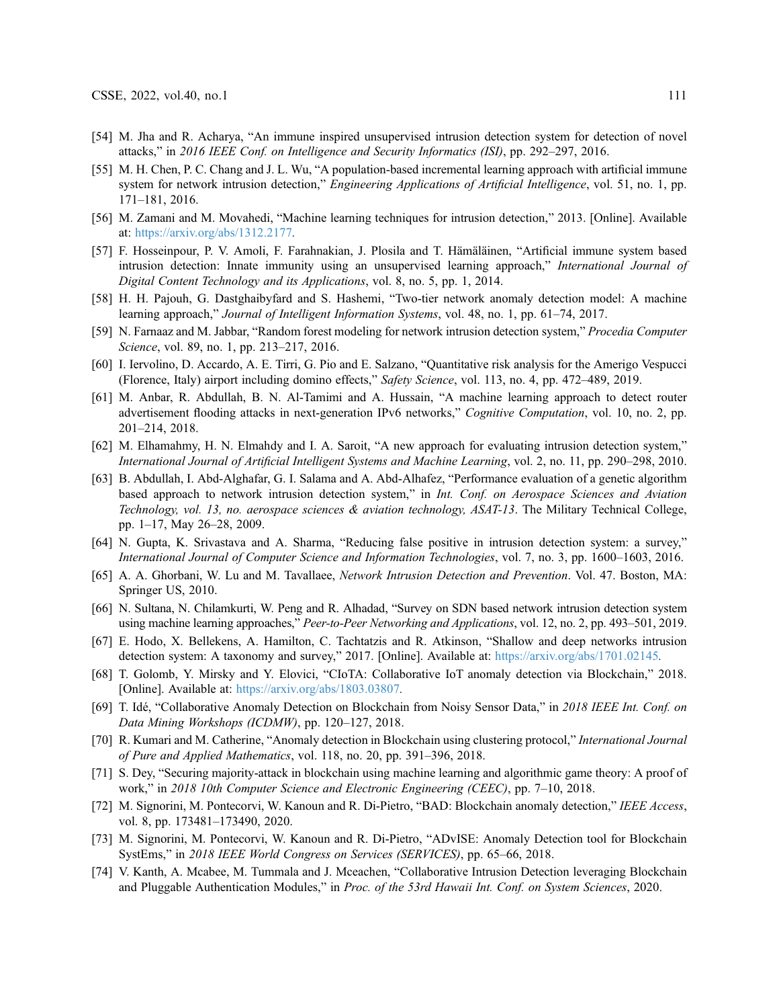- <span id="page-24-0"></span>[54] M. Jha and R. Acharya, "An immune inspired unsupervised intrusion detection system for detection of novel attacks," in 2016 IEEE Conf. on Intelligence and Security Informatics (ISI), pp. 292–297, 2016.
- <span id="page-24-1"></span>[55] M. H. Chen, P. C. Chang and J. L. Wu, "A population-based incremental learning approach with artificial immune system for network intrusion detection," *Engineering Applications of Artificial Intelligence*, vol. 51, no. 1, pp. 171–181, 2016.
- <span id="page-24-2"></span>[56] M. Zamani and M. Movahedi, "Machine learning techniques for intrusion detection," 2013. [Online]. Available at: <https://arxiv.org/abs/1312.2177>.
- [57] F. Hosseinpour, P. V. Amoli, F. Farahnakian, J. Plosila and T. Hämäläinen, "Artificial immune system based intrusion detection: Innate immunity using an unsupervised learning approach," International Journal of Digital Content Technology and its Applications, vol. 8, no. 5, pp. 1, 2014.
- <span id="page-24-3"></span>[58] H. H. Pajouh, G. Dastghaibyfard and S. Hashemi, "Two-tier network anomaly detection model: A machine learning approach," Journal of Intelligent Information Systems, vol. 48, no. 1, pp. 61–74, 2017.
- <span id="page-24-4"></span>[59] N. Farnaaz and M. Jabbar, "Random forest modeling for network intrusion detection system," Procedia Computer Science, vol. 89, no. 1, pp. 213–217, 2016.
- <span id="page-24-5"></span>[60] I. Iervolino, D. Accardo, A. E. Tirri, G. Pio and E. Salzano, "Quantitative risk analysis for the Amerigo Vespucci (Florence, Italy) airport including domino effects," Safety Science, vol. 113, no. 4, pp. 472–489, 2019.
- <span id="page-24-6"></span>[61] M. Anbar, R. Abdullah, B. N. Al-Tamimi and A. Hussain, "A machine learning approach to detect router advertisement flooding attacks in next-generation IPv6 networks," Cognitive Computation, vol. 10, no. 2, pp. 201–214, 2018.
- <span id="page-24-7"></span>[62] M. Elhamahmy, H. N. Elmahdy and I. A. Saroit, "A new approach for evaluating intrusion detection system," International Journal of Artificial Intelligent Systems and Machine Learning, vol. 2, no. 11, pp. 290–298, 2010.
- <span id="page-24-8"></span>[63] B. Abdullah, I. Abd-Alghafar, G. I. Salama and A. Abd-Alhafez, "Performance evaluation of a genetic algorithm based approach to network intrusion detection system," in Int. Conf. on Aerospace Sciences and Aviation Technology, vol. 13, no. aerospace sciences & aviation technology, ASAT-13. The Military Technical College, pp. 1–17, May 26–28, 2009.
- <span id="page-24-9"></span>[64] N. Gupta, K. Srivastava and A. Sharma, "Reducing false positive in intrusion detection system: a survey," International Journal of Computer Science and Information Technologies, vol. 7, no. 3, pp. 1600–1603, 2016.
- <span id="page-24-10"></span>[65] A. A. Ghorbani, W. Lu and M. Tavallaee, *Network Intrusion Detection and Prevention*. Vol. 47. Boston, MA: Springer US, 2010.
- <span id="page-24-11"></span>[66] N. Sultana, N. Chilamkurti, W. Peng and R. Alhadad, "Survey on SDN based network intrusion detection system using machine learning approaches," Peer-to-Peer Networking and Applications, vol. 12, no. 2, pp. 493–501, 2019.
- <span id="page-24-12"></span>[67] E. Hodo, X. Bellekens, A. Hamilton, C. Tachtatzis and R. Atkinson, "Shallow and deep networks intrusion detection system: A taxonomy and survey," 2017. [Online]. Available at: <https://arxiv.org/abs/1701.02145>.
- <span id="page-24-13"></span>[68] T. Golomb, Y. Mirsky and Y. Elovici, "CIoTA: Collaborative IoT anomaly detection via Blockchain," 2018. [Online]. Available at: <https://arxiv.org/abs/1803.03807>.
- <span id="page-24-14"></span>[69] T. Idé, "Collaborative Anomaly Detection on Blockchain from Noisy Sensor Data," in 2018 IEEE Int. Conf. on Data Mining Workshops (ICDMW), pp. 120–127, 2018.
- <span id="page-24-15"></span>[70] R. Kumari and M. Catherine, "Anomaly detection in Blockchain using clustering protocol," International Journal of Pure and Applied Mathematics, vol. 118, no. 20, pp. 391–396, 2018.
- <span id="page-24-16"></span>[71] S. Dey, "Securing majority-attack in blockchain using machine learning and algorithmic game theory: A proof of work," in 2018 10th Computer Science and Electronic Engineering (CEEC), pp. 7–10, 2018.
- <span id="page-24-17"></span>[72] M. Signorini, M. Pontecorvi, W. Kanoun and R. Di-Pietro, "BAD: Blockchain anomaly detection," IEEE Access, vol. 8, pp. 173481–173490, 2020.
- <span id="page-24-18"></span>[73] M. Signorini, M. Pontecorvi, W. Kanoun and R. Di-Pietro, "ADvISE: Anomaly Detection tool for Blockchain SystEms," in 2018 IEEE World Congress on Services (SERVICES), pp. 65–66, 2018.
- <span id="page-24-19"></span>[74] V. Kanth, A. Mcabee, M. Tummala and J. Mceachen, "Collaborative Intrusion Detection leveraging Blockchain and Pluggable Authentication Modules," in Proc. of the 53rd Hawaii Int. Conf. on System Sciences, 2020.